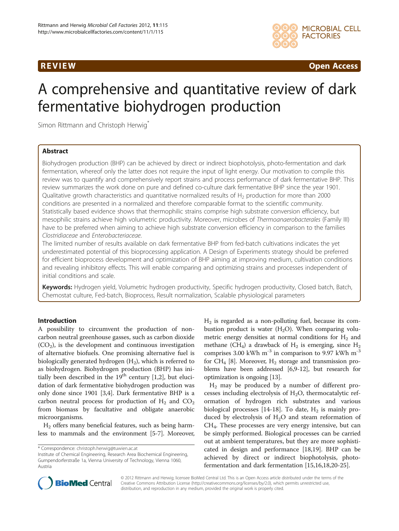

**REVIEW CONSIDERING CONSIDERING CONSIDERING CONSIDERING CONSIDERING CONSIDERING CONSIDERING CONSIDERING CONSIDERING CONSIDERING CONSIDERING CONSIDERING CONSIDERING CONSIDERING CONSIDERING CONSIDERING CONSIDERING CONSIDER** 

# A comprehensive and quantitative review of dark fermentative biohydrogen production

Simon Rittmann and Christoph Herwig<sup>®</sup>

# Abstract

Biohydrogen production (BHP) can be achieved by direct or indirect biophotolysis, photo-fermentation and dark fermentation, whereof only the latter does not require the input of light energy. Our motivation to compile this review was to quantify and comprehensively report strains and process performance of dark fermentative BHP. This review summarizes the work done on pure and defined co-culture dark fermentative BHP since the year 1901. Qualitative growth characteristics and quantitative normalized results of  $H<sub>2</sub>$  production for more than 2000 conditions are presented in a normalized and therefore comparable format to the scientific community. Statistically based evidence shows that thermophilic strains comprise high substrate conversion efficiency, but mesophilic strains achieve high volumetric productivity. Moreover, microbes of Thermoanaerobacterales (Family III) have to be preferred when aiming to achieve high substrate conversion efficiency in comparison to the families Clostridiaceae and Enterobacteriaceae.

The limited number of results available on dark fermentative BHP from fed-batch cultivations indicates the yet underestimated potential of this bioprocessing application. A Design of Experiments strategy should be preferred for efficient bioprocess development and optimization of BHP aiming at improving medium, cultivation conditions and revealing inhibitory effects. This will enable comparing and optimizing strains and processes independent of initial conditions and scale.

Keywords: Hydrogen yield, Volumetric hydrogen productivity, Specific hydrogen productivity, Closed batch, Batch, Chemostat culture, Fed-batch, Bioprocess, Result normalization, Scalable physiological parameters

## Introduction

A possibility to circumvent the production of noncarbon neutral greenhouse gasses, such as carbon dioxide  $(CO<sub>2</sub>)$ , is the development and continuous investigation of alternative biofuels. One promising alternative fuel is biologically generated hydrogen  $(H_2)$ , which is referred to as biohydrogen. Biohydrogen production (BHP) has initially been described in the  $19<sup>th</sup>$  century [[1,2\]](#page-8-0), but elucidation of dark fermentative biohydrogen production was only done since 1901 [\[3,4](#page-8-0)]. Dark fermentative BHP is a carbon neutral process for production of  $H_2$  and  $CO_2$ from biomass by facultative and obligate anaerobic microorganisms.

H2 offers many beneficial features, such as being harmless to mammals and the environment [\[5-7](#page-8-0)]. Moreover,

\* Correspondence: [christoph.herwig@tuwien.ac.at](mailto:christoph.herwig@tuwien.ac.at)

 $H<sub>2</sub>$  is regarded as a non-polluting fuel, because its combustion product is water  $(H<sub>2</sub>O)$ . When comparing volumetric energy densities at normal conditions for  $H_2$  and methane (CH<sub>4</sub>) a drawback of H<sub>2</sub> is emerging, since H<sub>2</sub> comprises 3.00 kWh  $m^{-3}$  in comparison to 9.97 kWh  $m^{-3}$ for CH<sub>4</sub> [\[8\]](#page-8-0). Moreover, H<sub>2</sub> storage and transmission problems have been addressed [\[6,9-12\]](#page-8-0), but research for optimization is ongoing [[13](#page-8-0)].

 $H_2$  may be produced by a number of different processes including electrolysis of  $H_2O$ , thermocatalytic reformation of hydrogen rich substrates and various biological processes [\[14](#page-8-0)-[18](#page-8-0)]. To date,  $H_2$  is mainly produced by electrolysis of  $H_2O$  and steam reformation of CH4. These processes are very energy intensive, but can be simply performed. Biological processes can be carried out at ambient temperatures, but they are more sophisticated in design and performance [[18,19](#page-8-0)]. BHP can be achieved by direct or indirect biophotolysis, photofermentation and dark fermentation [\[15,16,18,20](#page-8-0)-[25\]](#page-9-0).



© 2012 Rittmann and Herwig; licensee BioMed Central Ltd. This is an Open Access article distributed under the terms of the Creative Commons Attribution License (<http://creativecommons.org/licenses/by/2.0>), which permits unrestricted use, distribution, and reproduction in any medium, provided the original work is properly cited.

Institute of Chemical Engineering, Research Area Biochemical Engineering, Gumpendorferstraße 1a, Vienna University of Technology, Vienna 1060, Austria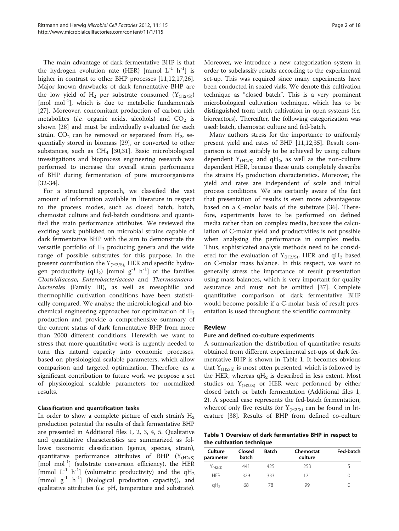The main advantage of dark fermentative BHP is that the hydrogen evolution rate (HER) [mmol  $L^{-1}$  h<sup>-1</sup>] is higher in contrast to other BHP processes [[11,12,17](#page-8-0)[,26](#page-9-0)]. Major known drawbacks of dark fermentative BHP are the low yield of H<sub>2</sub> per substrate consumed  $(Y_{(H2/S)})$  $[{\rm mol/mol^{-1}}]$ , which is due to metabolic fundamentals [[27\]](#page-9-0). Moreover, concomitant production of carbon rich metabolites (*i.e.* organic acids, alcohols) and  $CO<sub>2</sub>$  is shown [\[28\]](#page-9-0) and must be individually evaluated for each strain.  $CO<sub>2</sub>$  can be removed or separated from  $H<sub>2</sub>$ , sequentially stored in biomass [\[29](#page-9-0)], or converted to other substances, such as  $CH_4$  [[30,31\]](#page-9-0). Basic microbiological investigations and bioprocess engineering research was performed to increase the overall strain performance of BHP during fermentation of pure microorganisms [[32-34](#page-9-0)].

For a structured approach, we classified the vast amount of information available in literature in respect to the process modes, such as closed batch, batch, chemostat culture and fed-batch conditions and quantified the main performance attributes. We reviewed the exciting work published on microbial strains capable of dark fermentative BHP with the aim to demonstrate the versatile portfolio of  $H_2$  producing genera and the wide range of possible substrates for this purpose. In the present contribution the  $Y_{(H2/S)}$ , HER and specific hydrogen productivity (qH<sub>2</sub>) [mmol  $g^{-1}$  h<sup>-1</sup>] of the families Clostridiaceae, Enterobacteriaceae and Thermoanaerobacterales (Family III), as well as mesophilic and thermophilic cultivation conditions have been statistically compared. We analyse the microbiological and biochemical engineering approaches for optimization of  $H_2$ production and provide a comprehensive summary of the current status of dark fermentative BHP from more than 2000 different conditions. Herewith we want to stress that more quantitative work is urgently needed to turn this natural capacity into economic processes, based on physiological scalable parameters, which allow comparison and targeted optimization. Therefore, as a significant contribution to future work we propose a set of physiological scalable parameters for normalized results.

## Classification and quantification tasks

In order to show a complete picture of each strain's  $H_2$ production potential the results of dark fermentative BHP are presented in Additional files [1, 2, 3](#page-8-0), [4](#page-8-0), [5.](#page-8-0) Qualitative and quantitative characteristics are summarized as follows: taxonomic classification (genus, species, strain), quantitative performance attributes of BHP  $(Y_{(H2/S)})$ [mol mol<sup>-1</sup>] (substrate conversion efficiency), the HER [mmol  $L^{-1}$  h<sup>-1</sup>] (volumetric productivity) and the qH<sub>2</sub> [mmol  $g^{-1}$  h<sup>-1</sup>] (biological production capacity)), and qualitative attributes (i.e. pH, temperature and substrate). Moreover, we introduce a new categorization system in order to subclassify results according to the experimental set-up. This was required since many experiments have been conducted in sealed vials. We denote this cultivation technique as "closed batch". This is a very prominent microbiological cultivation technique, which has to be distinguished from batch cultivation in open systems *(i.e.*) bioreactors). Thereafter, the following categorization was used: batch, chemostat culture and fed-batch.

Many authors stress for the importance to uniformly present yield and rates of BHP [\[11,12](#page-8-0)[,35](#page-9-0)]. Result comparison is most suitably to be achieved by using culture dependent  $Y_{(H2/S)}$  and qH<sub>2</sub>, as well as the non-culture dependent HER, because these units completely describe the strains  $H_2$  production characteristics. Moreover, the yield and rates are independent of scale and initial process conditions. We are certainly aware of the fact that presentation of results is even more advantageous based on a C-molar basis of the substrate [\[36](#page-9-0)]. Therefore, experiments have to be performed on defined media rather than on complex media, because the calculation of C-molar yield and productivities is not possible when analysing the performance in complex media. Thus, sophisticated analysis methods need to be considered for the evaluation of  $Y_{(H2/S)}$ , HER and qH<sub>2</sub> based on C-molar mass balance. In this respect, we want to generally stress the importance of result presentation using mass balances, which is very important for quality assurance and must not be omitted [\[37](#page-9-0)]. Complete quantitative comparison of dark fermentative BHP would become possible if a C-molar basis of result presentation is used throughout the scientific community.

#### Review

#### Pure and defined co-culture experiments

A summarization the distribution of quantitative results obtained from different experimental set-ups of dark fermentative BHP is shown in Table 1. It becomes obvious that  $Y_{(H2/S)}$  is most often presented, which is followed by the HER, whereas  $qH_2$  is described in less extent. Most studies on  $Y_{(H2/S)}$  or HER were performed by either closed batch or batch fermentation (Additional files [1](#page-8-0), [2\)](#page-8-0). A special case represents the fed-batch fermentation, whereof only five results for  $Y_{(H2/S)}$  can be found in literature [\[38](#page-9-0)]. Results of BHP from defined co-culture

Table 1 Overview of dark fermentative BHP in respect to the cultivation technique

| Culture<br>parameter | Closed<br>batch | <b>Batch</b> | Chemostat<br>culture | Fed-batch |
|----------------------|-----------------|--------------|----------------------|-----------|
| $Y_{(H2/S)}$         | 441             | 425          | 253                  |           |
| <b>HFR</b>           | 329             | 333          | 171                  |           |
| qH <sub>2</sub>      | 68              | 78           | qq                   |           |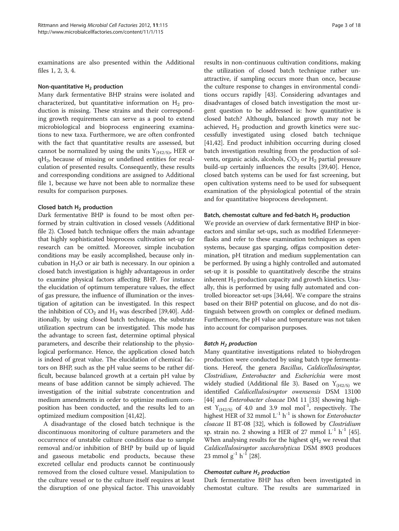examinations are also presented within the Additional files [1, 2, 3, 4.](#page-8-0)

#### Non-quantitative  $H_2$  production

Many dark fermentative BHP strains were isolated and characterized, but quantitative information on  $H_2$  production is missing. These strains and their corresponding growth requirements can serve as a pool to extend microbiological and bioprocess engineering examinations to new taxa. Furthermore, we are often confronted with the fact that quantitative results are assessed, but cannot be normalized by using the units  $Y_{(H2/S)}$ , HER or  $qH<sub>2</sub>$ , because of missing or undefined entities for recalculation of presented results. Consequently, these results and corresponding conditions are assigned to Additional file [1](#page-8-0), because we have not been able to normalize these results for comparison purposes.

#### Closed batch  $H_2$  production

Dark fermentative BHP is found to be most often performed by strain cultivation in closed vessels (Additional file [2](#page-8-0)). Closed batch technique offers the main advantage that highly sophisticated bioprocess cultivation set-up for research can be omitted. Moreover, simple incubation conditions may be easily accomplished, because only incubation in  $H_2O$  or air bath is necessary. In our opinion a closed batch investigation is highly advantageous in order to examine physical factors affecting BHP. For instance the elucidation of optimum temperature values, the effect of gas pressure, the influence of illumination or the investigation of agitation can be investigated. In this respect the inhibition of  $CO_2$  and  $H_2$  was described [\[39,40\]](#page-9-0). Additionally, by using closed batch technique, the substrate utilization spectrum can be investigated. This mode has the advantage to screen fast, determine optimal physical parameters, and describe their relationship to the physiological performance. Hence, the application closed batch is indeed of great value. The elucidation of chemical factors on BHP, such as the pH value seems to be rather difficult, because balanced growth at a certain pH value by means of base addition cannot be simply achieved. The investigation of the initial substrate concentration and medium amendments in order to optimize medium composition has been conducted, and the results led to an optimized medium composition [\[41,42](#page-9-0)].

A disadvantage of the closed batch technique is the discontinuous monitoring of culture parameters and the occurrence of unstable culture conditions due to sample removal and/or inhibition of BHP by build up of liquid and gaseous metabolic end products, because these excreted cellular end products cannot be continuously removed from the closed culture vessel. Manipulation to the culture vessel or to the culture itself requires at least the disruption of one physical factor. This unavoidably results in non-continuous cultivation conditions, making the utilization of closed batch technique rather unattractive, if sampling occurs more than once, because the culture response to changes in environmental conditions occurs rapidly [[43](#page-9-0)]. Considering advantages and disadvantages of closed batch investigation the most urgent question to be addressed is: how quantitative is closed batch? Although, balanced growth may not be achieved,  $H_2$  production and growth kinetics were successfully investigated using closed batch technique [[41,42\]](#page-9-0). End product inhibition occurring during closed batch investigation resulting from the production of solvents, organic acids, alcohols,  $CO<sub>2</sub>$  or  $H<sub>2</sub>$  partial pressure build-up certainly influences the results [\[39,40\]](#page-9-0). Hence, closed batch systems can be used for fast screening, but open cultivation systems need to be used for subsequent examination of the physiological potential of the strain and for quantitative bioprocess development.

#### Batch, chemostat culture and fed-batch  $H_2$  production

We provide an overview of dark fermentative BHP in bioreactors and similar set-ups, such as modified Erlenmeyerflasks and refer to these examination techniques as open systems, because gas sparging, offgas composition determination, pH titration and medium supplementation can be performed. By using a highly controlled and automated set-up it is possible to quantitatively describe the strains inherent  $H_2$  production capacity and growth kinetics. Usually, this is performed by using fully automated and controlled bioreactor set-ups [\[34,44](#page-9-0)]. We compare the strains based on their BHP potential on glucose, and do not distinguish between growth on complex or defined medium. Furthermore, the pH value and temperature was not taken into account for comparison purposes.

#### Batch  $H_2$  production

Many quantitative investigations related to biohydrogen production were conducted by using batch type fermentations. Hereof, the genera Bacillus, Caldicellulosiruptor, Clostridium, Enterobacter and Escherichia were most widely studied (Additional file [3\)](#page-8-0). Based on  $Y_{(H2/S)}$  we identified Caldicellulosiruptor owensensis DSM 13100 [[44](#page-9-0)] and *Enterobacter cloacae* DM 11 [[33](#page-9-0)] showing highest  $Y_{(H2/S)}$  of 4.0 and 3.9 mol mol<sup>-1</sup>, respectively. The highest HER of 32 mmol  $L^{-1}$  h<sup>-1</sup> is shown for *Enterobacter* cloacae II BT-08 [\[32\]](#page-9-0), which is followed by Clostridium sp. strain no. 2 showing a HER of 27 mmol  $L^{-1}$   $h^{-1}$  [[45](#page-9-0)]. When analysing results for the highest  $qH_2$  we reveal that Caldicellulosiruptor saccharolyticus DSM 8903 produces 23 mmol  $g^{-1}$  h<sup>-1</sup> [\[28\]](#page-9-0).

#### Chemostat culture  $H_2$  production

Dark fermentative BHP has often been investigated in chemostat culture. The results are summarized in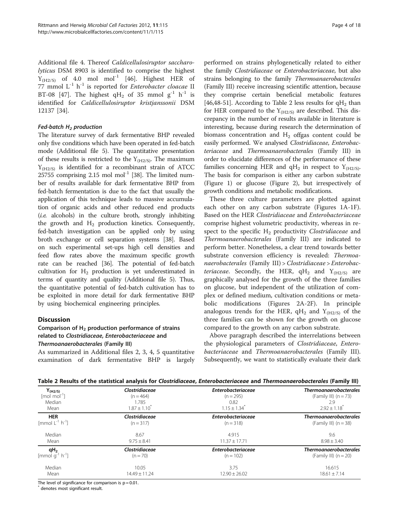<span id="page-3-0"></span>Additional file [4.](#page-8-0) Thereof Caldicellulosiruptor saccharolyticus DSM 8903 is identified to comprise the highest  $Y_{(H2/S)}$  of 4.0 mol mol<sup>-1</sup> [[46\]](#page-9-0). Highest HER of 77 mmol  $L^{-1}$  h<sup>-1</sup> is reported for *Enterobacter cloacae* II BT-08 [[47\]](#page-9-0). The highest qH<sub>2</sub> of 35 mmol  $g^{-1}$  h<sup>-1</sup> is identified for Caldicellulosiruptor kristjanssonii DSM 12137 [\[34\]](#page-9-0).

#### Fed-batch  $H<sub>2</sub>$  production

The literature survey of dark fermentative BHP revealed only five conditions which have been operated in fed-batch mode (Additional file [5](#page-8-0)). The quantitative presentation of these results is restricted to the  $Y_{(H2/S)}$ . The maximum  $Y_{(H2/S)}$  is identified for a recombinant strain of ATCC  $25755$  comprising  $2.15$  mol mol<sup>-1</sup> [\[38\]](#page-9-0). The limited number of results available for dark fermentative BHP from fed-batch fermentation is due to the fact that usually the application of this technique leads to massive accumulation of organic acids and other reduced end products (i.e. alcohols) in the culture broth, strongly inhibiting the growth and  $H_2$  production kinetics. Consequently, fed-batch investigation can be applied only by using broth exchange or cell separation systems [[38](#page-9-0)]. Based on such experimental set-ups high cell densities and feed flow rates above the maximum specific growth rate can be reached [[36](#page-9-0)]. The potential of fed-batch cultivation for  $H_2$  production is yet underestimated in terms of quantity and quality (Additional file [5\)](#page-8-0). Thus, the quantitative potential of fed-batch cultivation has to be exploited in more detail for dark fermentative BHP by using biochemical engineering principles.

## **Discussion**

# Comparison of  $H_2$  production performance of strains related to Clostridiaceae, Enterobacteriaceae and Thermoanaerobacterales (Family III)

As summarized in Additional files [2](#page-8-0), [3, 4](#page-8-0), [5](#page-8-0) quantitative examination of dark fermentative BHP is largely performed on strains phylogenetically related to either the family Clostridiaceae or Enterobacteriaceae, but also strains belonging to the family Thermoanaerobacterales (Family III) receive increasing scientific attention, because they comprise certain beneficial metabolic features [[46,48](#page-9-0)-[51](#page-9-0)]. According to Table 2 less results for  $qH_2$  than for HER compared to the  $Y_{(H2/S)}$  are described. This discrepancy in the number of results available in literature is interesting, because during research the determination of biomass concentration and  $H_2$  offgas content could be easily performed. We analysed Clostridiaceae, Enterobacteriaceae and Thermoanaerobacterales (Family III) in order to elucidate differences of the performance of these families concerning HER and  $qH_2$  in respect to  $Y_{(H2/S)}$ . The basis for comparison is either any carbon substrate (Figure [1\)](#page-4-0) or glucose (Figure [2\)](#page-5-0), but irrespectively of growth conditions and metabolic modifications.

These three culture parameters are plotted against each other on any carbon substrate (Figures [1A-1F](#page-4-0)). Based on the HER Clostridiaceae and Enterobacteriaceae comprise highest volumetric productivity, whereas in respect to the specific  $H_2$  productivity Clostridiaceae and Thermoanaerobacterales (Family III) are indicated to perform better. Nonetheless, a clear trend towards better substrate conversion efficiency is revealed: Thermoanaerobacterales (Family III) > Clostridiaceae > Enterobac*teriaceae*. Secondly, the HER,  $qH_2$  and  $Y_{(H2/S)}$  are graphically analysed for the growth of the three families on glucose, but independent of the utilization of complex or defined medium, cultivation conditions or metabolic modifications (Figures [2A-2F](#page-5-0)). In principle analogous trends for the HER,  $qH_2$  and  $Y_{(H2/S)}$  of the three families can be shown for the growth on glucose compared to the growth on any carbon substrate.

Above paragraph described the interrelations between the physiological parameters of Clostridiaceae, Enterobacteriaceae and Thermoanaerobacterales (Family III). Subsequently, we want to statistically evaluate their dark

| $Y_{(H2/S)}$                                      | <b>Clostridiaceae</b> | <b>Enterobacteriaceae</b>    | <b>Thermoanaerobacterales</b> |
|---------------------------------------------------|-----------------------|------------------------------|-------------------------------|
| $[mol mol-1]$                                     | $(n = 464)$           | $(n = 295)$                  | (Family III) $(n = 73)$       |
| Median                                            | 1.785                 | 0.82                         | 2.9                           |
| Mean                                              | $1.87 \pm 1.10^{*}$   | $1.15 \pm 1.34$ <sup>*</sup> | $2.92 \pm 1.18$ <sup>*</sup>  |
| <b>HER</b>                                        | Clostridiaceae        | <b>Enterobacteriaceae</b>    | <b>Thermoanaerobacterales</b> |
| [mmol $L^{-1}$ h <sup>-1</sup> ]                  | $(n = 317)$           | $(n = 318)$                  | (Family III) $(n = 38)$       |
| Median                                            | 8.67                  | 4.915                        | 9.6                           |
| Mean                                              | $9.75 \pm 8.41$       | $11.37 \pm 17.71$            | $8.98 \pm 3.40$               |
| $qH_2$<br>[mmol g <sup>-1</sup> h <sup>-1</sup> ] | Clostridiaceae        | <b>Enterobacteriaceae</b>    | <b>Thermoanaerobacterales</b> |
|                                                   | $(n = 70)$            | $(n = 102)$                  | (Family III) $(n = 20)$       |
| Median                                            | 10.05                 | 3.75                         | 16.615                        |
| Mean                                              | $14.49 \pm 11.24$     | $12.90 \pm 26.02$            | $18.61 \pm 7.14$              |

The level of significance for comparison is  $p = 0.01$ .

denotes most significant result.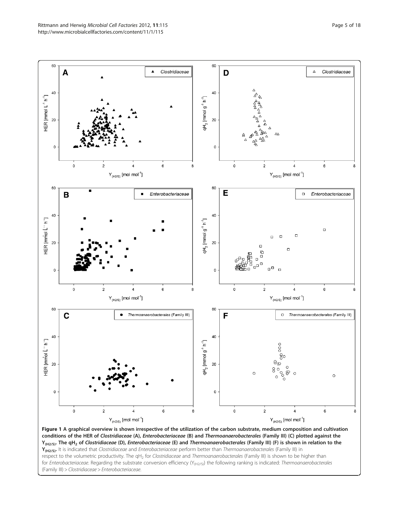<span id="page-4-0"></span>

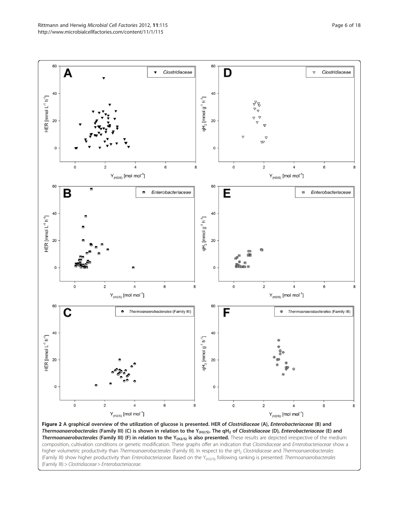<span id="page-5-0"></span>

Figure 2 A graphical overview of the utilization of glucose is presented. HER of Clostridiaceae (A), Enterobacteriaceae (B) and Thermoanaerobacterales (Family III) (C) is shown in relation to the Y<sub>(H2/S)</sub>. The qH<sub>2</sub> of Clostridiaceae (D), Enterobacteriaceae (E) and **Thermoanaerobacterales (Family III) (F) in relation to the Y<sub>(H2/S)</sub> is also presented. These results are depicted irrespective of the medium** composition, cultivation conditions or genetic modification. These graphs offer an indication that Clostridiaceae and Enterobacteriaceae show a higher volumetric productivity than Thermoanaerobacterales (Family III). In respect to the qH<sub>2</sub> Clostridiaceae and Thermoanaerobacterales (Family III) show higher productivity than Enterobacteriaceae. Based on the Y<sub>(H2/S)</sub> following ranking is presented: Thermoanaerobacterales (Family III) > Clostridiaceae > Enterobacteriaceae.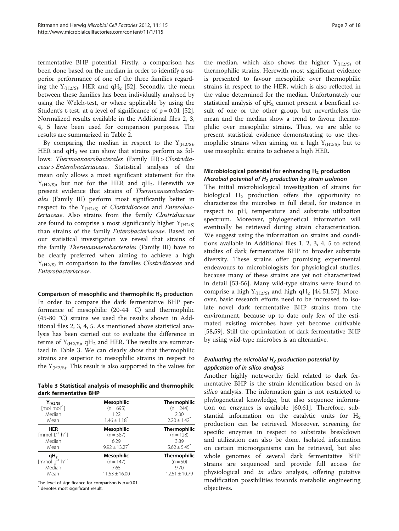fermentative BHP potential. Firstly, a comparison has been done based on the median in order to identify a superior performance of one of the three families regarding the  $Y_{(H2/S)}$ , HER and qH<sub>2</sub> [\[52\]](#page-9-0). Secondly, the mean between these families has been individually analysed by using the Welch-test, or where applicable by using the Student's t-test, at a level of significance of  $p = 0.01$  [\[52](#page-9-0)]. Normalized results available in the Additional files [2, 3](#page-8-0), [4, 5](#page-8-0) have been used for comparison purposes. The results are summarized in Table [2.](#page-3-0)

By comparing the median in respect to the  $Y_{(H2/S)}$ , HER and  $qH_2$  we can show that strains perform as follows: Thermoanaerobacterales (Family III) > Clostridiaceae > Enterobacteriaceae. Statistical analysis of the mean only allows a most significant statement for the  $Y_{(H2/S)}$ , but not for the HER and qH<sub>2</sub>. Herewith we present evidence that strains of Thermoanaerobacterales (Family III) perform most significantly better in respect to the  $Y_{(H2/S)}$  of *Clostridiaceae* and *Enterobac*teriaceae. Also strains from the family Clostridiaceae are found to comprise a most significantly higher  $Y_{(H2/S)}$ than strains of the family Enterobacteriaceae. Based on our statistical investigation we reveal that strains of the family Thermoanaerobacterales (Family III) have to be clearly preferred when aiming to achieve a high  $Y_{(H2/S)}$  in comparison to the families *Clostridiaceae* and Enterobacteriaceae.

#### Comparison of mesophilic and thermophilic  $H_2$  production

In order to compare the dark fermentative BHP performance of mesophilic (20-44 °C) and thermophilic (45-80 °C) strains we used the results shown in Additional files [2](#page-8-0), [3, 4, 5.](#page-8-0) As mentioned above statistical analysis has been carried out to evaluate the difference in terms of  $Y_{(H2/S)}$ , qH<sub>2</sub> and HER. The results are summarized in Table 3. We can clearly show that thermophilic strains are superior to mesophilic strains in respect to the  $Y_{(H2/S)}$ . This result is also supported in the values for

Table 3 Statistical analysis of mesophilic and thermophilc dark fermentative BHP

| $Y_{(H2/S)}$                     | <b>Mesophilic</b>             | <b>Thermophilic</b>          |
|----------------------------------|-------------------------------|------------------------------|
| $[mol \text{ mol}^{-1}]$         | $(n = 695)$                   | $(n = 244)$                  |
| Median                           | 1.22                          | 2.30                         |
| Mean                             | $1.46 \pm 1.18$               | $2.20 \pm 1.42$ <sup>*</sup> |
| <b>HER</b>                       | <b>Mesophilic</b>             | <b>Thermophilic</b>          |
| [mmol $L^{-1}$ h <sup>-1</sup> ] | $(n = 587)$                   | $(n = 128)$                  |
| Median                           | 6.29                          | 3.89                         |
| Mean                             | $9.92 \pm 13.27$ <sup>*</sup> | $5.62 \pm 5.45$              |
| qH <sub>2</sub>                  | <b>Mesophilic</b>             | <b>Thermophilic</b>          |
| [mmol $g^{-1}$ h <sup>-1</sup> ] | $(n = 147)$                   | $(n = 50)$                   |
| Median                           | 7.65                          | 9.70                         |
| Mean                             | $11.53 \pm 16.00$             | $12.51 \pm 10.79$            |

The level of significance for comparison is  $p = 0.01$ .

denotes most significant result.

the median, which also shows the higher  $Y_{(H2/S)}$  of thermophilic strains. Herewith most significant evidence is presented to favour mesophilic over thermophilic strains in respect to the HER, which is also reflected in the value determined for the median. Unfortunately our statistical analysis of  $qH_2$  cannot present a beneficial result of one or the other group, but nevertheless the mean and the median show a trend to favour thermophilic over mesophilic strains. Thus, we are able to present statistical evidence demonstrating to use thermophilic strains when aiming on a high  $Y_{(H2/S)}$ , but to use mesophilic strains to achieve a high HER.

# Microbiological potential for enhancing  $H<sub>2</sub>$  production Microbial potential of  $H_2$  production by strain isolation

The initial microbiological investigation of strains for biological  $H_2$  production offers the opportunity to characterize the microbes in full detail, for instance in respect to pH, temperature and substrate utilization spectrum. Moreover, phylogenetical information will eventually be retrieved during strain characterization. We suggest using the information on strains and conditions available in Additional files [1](#page-8-0), [2](#page-8-0), [3](#page-8-0), [4](#page-8-0), [5](#page-8-0) to extend studies of dark fermentative BHP to broader substrate diversity. These strains offer promising experimental endeavours to microbiologists for physiological studies, because many of these strains are yet not characterized in detail [\[53](#page-9-0)-[56](#page-9-0)]. Many wild-type strains were found to comprise a high  $Y_{(H2/S)}$  and high qH<sub>2</sub> [[44,51,57\]](#page-9-0). Moreover, basic research efforts need to be increased to isolate novel dark fermentative BHP strains from the environment, because up to date only few of the estimated existing microbes have yet become cultivable [[58,59\]](#page-9-0). Still the optimization of dark fermentative BHP by using wild-type microbes is an alternative.

## Evaluating the microbial  $H_2$  production potential by application of in silico analysis

Another highly noteworthy field related to dark fermentative BHP is the strain identification based on in silico analysis. The information gain is not restricted to phylogenetical knowledge, but also sequence information on enzymes is available [[60](#page-9-0),[61](#page-9-0)]. Therefore, substantial information on the catalytic units for  $H_2$ production can be retrieved. Moreover, screening for specific enzymes in respect to substrate breakdown and utilization can also be done. Isolated information on certain microorganisms can be retrieved, but also whole genomes of several dark fermentative BHP strains are sequenced and provide full access for physiological and in silico analysis, offering putative modification possibilities towards metabolic engineering objectives.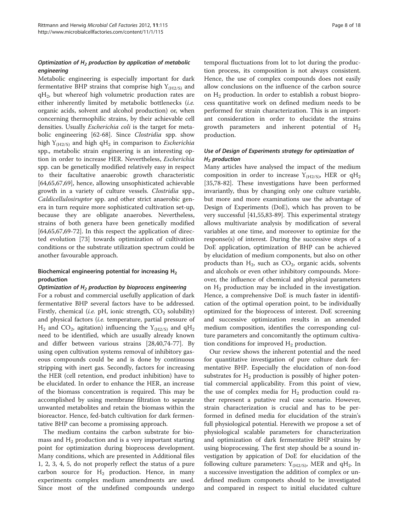# Optimization of  $H_2$  production by application of metabolic engineering

Metabolic engineering is especially important for dark fermentative BHP strains that comprise high  $Y_{(H2/S)}$  and  $qH<sub>2</sub>$ , but whereof high volumetric production rates are either inherently limited by metabolic bottlenecks (i.e. organic acids, solvent and alcohol production) or, when concerning thermophilic strains, by their achievable cell densities. Usually Escherichia coli is the target for metabolic engineering [[62-68](#page-9-0)]. Since Clostridia spp. show high  $Y_{(H2/S)}$  and high qH<sub>2</sub> in comparison to Escherichia spp., metabolic strain engineering is an interesting option in order to increase HER. Nevertheless, Escherichia spp. can be genetically modified relatively easy in respect to their facultative anaerobic growth characteristic [[64,65,67,69\]](#page-9-0), hence, allowing unsophisticated achievable growth in a variety of culture vessels. Clostridia spp., Caldicellulosiruptor spp. and other strict anaerobic genera in turn require more sophisticated cultivation set-up, because they are obligate anaerobes. Nevertheless, strains of both genera have been genetically modified [[64,65,67,69-72\]](#page-9-0). In this respect the application of directed evolution [\[73](#page-10-0)] towards optimization of cultivation conditions or the substrate utilization spectrum could be another favourable approach.

## Biochemical engineering potential for increasing H2 production

#### Optimization of  $H_2$  production by bioprocess engineering

For a robust and commercial usefully application of dark fermentative BHP several factors have to be addressed. Firstly, chemical (i.e. pH, ionic strength,  $CO_2$  solubility) and physical factors (i.e. temperature, partial pressure of  $H_2$  and CO<sub>2</sub>, agitation) influencing the Y<sub>(H2/S)</sub> and qH<sub>2</sub> need to be identified, which are usually already known and differ between various strains [[28,40,](#page-9-0)[74-77](#page-10-0)]. By using open cultivation systems removal of inhibitory gaseous compounds could be and is done by continuous stripping with inert gas. Secondly, factors for increasing the HER (cell retention, end product inhibition) have to be elucidated. In order to enhance the HER, an increase of the biomass concentration is required. This may be accomplished by using membrane filtration to separate unwanted metabolites and retain the biomass within the bioreactor. Hence, fed-batch cultivation for dark fermentative BHP can become a promissing approach.

The medium contains the carbon substrate for biomass and  $H_2$  production and is a very important starting point for optimization during bioprocess development. Many conditions, which are presented in Additional files [1, 2](#page-8-0), [3, 4, 5](#page-8-0), do not properly reflect the status of a pure carbon source for  $H_2$  production. Hence, in many experiments complex medium amendments are used. Since most of the undefined compounds undergo

temporal fluctuations from lot to lot during the production process, its composition is not always consistent. Hence, the use of complex compounds does not easily allow conclusions on the influence of the carbon source on  $H_2$  production. In order to establish a robust bioprocess quantitative work on defined medium needs to be performed for strain characterization. This is an important consideration in order to elucidate the strains growth parameters and inherent potential of  $H_2$ production.

# Use of Design of Experiments strategy for optimization of  $H<sub>2</sub>$  production

Many articles have analysed the impact of the medium composition in order to increase  $Y_{(H2/S)}$ , HER or qH<sub>2</sub> [[35,](#page-9-0)[78-82\]](#page-10-0). These investigations have been performed invariantly, thus by changing only one culture variable, but more and more examinations use the advantage of Design of Experiments (DoE), which has proven to be very successful [[41,55](#page-9-0)[,83](#page-10-0)-[89\]](#page-10-0). This experimental strategy allows multivariate analysis by modification of several variables at one time, and moreover to optimize for the response(s) of interest. During the successive steps of a DoE application, optimization of BHP can be achieved by elucidation of medium components, but also on other products than  $H_2$ , such as  $CO_2$ , organic acids, solvents and alcohols or even other inhibitory compounds. Moreover, the influence of chemical and physical parameters on  $H_2$  production may be included in the investigation. Hence, a comprehensive DoE is much faster in identification of the optimal operation point, to be individually optimized for the bioprocess of interest. DoE screening and successive optimization results in an amended medium composition, identifies the corresponding culture parameters and concomitantly the optimum cultivation conditions for improved  $H_2$  production.

Our review shows the inherent potential and the need for quantitative investigation of pure culture dark fermentative BHP. Especially the elucidation of non-food substrates for  $H_2$  production is possibly of higher potential commercial applicability. From this point of view, the use of complex media for  $H_2$  production could rather represent a putative real case scenario. However, strain characterization is crucial and has to be performed in defined media for elucidation of the strain's full physiological potential. Herewith we propose a set of physiological scalable parameters for characterization and optimization of dark fermentative BHP strains by using bioprocessing. The first step should be a sound investigation by appication of DoE for elucidation of the following culture parameters:  $Y_{(H2/S)}$ , MER and qH<sub>2</sub>. In a successive investigation the addition of complex or undefined medium componets should to be investigated and compared in respect to initial elucidated culture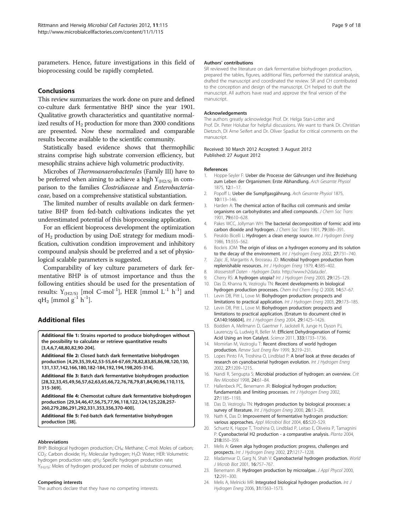<span id="page-8-0"></span>parameters. Hence, future investigations in this field of bioprocessing could be rapidly completed.

# Conclusions

This review summarizes the work done on pure and defined co-culture dark fermentative BHP since the year 1901. Qualitative growth characteristics and quantitative normalized results of  $H_2$  production for more than 2000 conditions are presented. Now these normalized and comparable results become available to the scientific community.

Statistically based evidence shows that thermophilic strains comprise high substrate conversion efficiency, but mesophilic strains achieve high volumetric productivity.

Microbes of Thermoanaerobacterales (Family III) have to be preferred when aiming to achieve a high  $Y_{(H2/S)}$  in comparison to the families Clostridiaceae and Enterobacteriaceae, based on a comprehensive statistical substantiation.

The limited number of results available on dark fermentative BHP from fed-batch cultivations indicates the yet underestimated potential of this bioprocessing application.

For an efficient bioprocess development the optimization of  $H_2$  production by using DoE strategy for medium modification, cultivation condition improvement and inhibitory compound analysis should be preferred and a set of physiological scalable parameters is suggested.

Comparability of key culture parameters of dark fermentative BHP is of utmost importance and thus the following entities should be used for the presentation of results:  $Y_{(H2/S)}$  [mol C-mol<sup>-1</sup>], HER [mmol L<sup>-1</sup> h<sup>-1</sup>] and  $qH_2$  [mmol  $g^{-1}$  h<sup>-1</sup>].

#### Additional files

[Additional file 1:](http://www.biomedcentral.com/content/supplementary/1475-2859-11-115-S1.pdf) Strains reported to produce biohydrogen without the possibility to calculate or retrieve quantitative results [3,4,6,7,48,80,82,90-204].

[Additional file 2:](http://www.biomedcentral.com/content/supplementary/1475-2859-11-115-S2.pdf) Closed batch dark fermentative biohydrogen production [4,29,35,39,42,53-55,64-67,69,78,82,83,85,86,98,120,130, 131,137,142,166,180,182-184,192,194,198,205-314].

[Additional file 3:](http://www.biomedcentral.com/content/supplementary/1475-2859-11-115-S3.pdf) Batch dark fermentative biohydrogen production [28,32,33,45,49,56,57,62,63,65,66,72,76,78,79,81,84,90,96,110,115, 315-369].

[Additional file 4:](http://www.biomedcentral.com/content/supplementary/1475-2859-11-115-S4.pdf) Chemostat culture dark fermentative biohydrogen production [29,34,46,47,56,75,77,96,118,122,124,125,228,257- 260,279,286,291,292,331,353,356,370-400].

[Additional file 5:](http://www.biomedcentral.com/content/supplementary/1475-2859-11-115-S5.pdf) Fed-batch dark fermentative biohydrogen production [38].

#### Abbreviations

BHP: Biological hydrogen production; CH<sub>4</sub>: Methane; C-mol: Moles of carbon; CO<sub>2</sub>: Carbon dioxide; H<sub>2</sub>: Molecular hydrogen; H<sub>2</sub>O: Water; HER: Volumetric hydrogen production rate; qH<sub>2</sub>: Specific hydrogen production rate; Y<sub>(H2/S)</sub>: Moles of hydrogen produced per moles of substrate consumed.

#### Competing interests

The authors declare that they have no competing interests.

#### Authors' contributions

SR reviewed the literature on dark fermentative biohydrogen production, prepared the tables, figures, additional files, performed the statistical analysis, drafted the manuscript and coordinated the review. SR and CH contributed to the conception and design of the manuscript. CH helped to draft the manuscript. All authors have read and approve the final version of the manuscript.

#### Acknowledgements

The authors greatly acknowledge Prof. Dr. Helga Stan-Lotter and Prof. Dr. Peter Holubar for helpful discussions. We want to thank Dr. Christian Dietzsch, DI Arne Seifert and Dr. Oliver Spadiut for critical comments on the manuscript.

Received: 30 March 2012 Accepted: 3 August 2012 Published: 27 August 2012

#### References

- 1. Hoppe-Seyler F: Ueber die Processe der Gährungen und ihre Beziehung zum Leben der Organismen: Erste Abhandlung. Arch Gesamte Physiol 1875, 12:1–17.
- 2. Popoff L: Ueber die Sumpfgasgährung. Arch Gesamte Physiol 1875, 10:113–146.
- 3. Harden A: The chemical action of Bacillus coli communis and similar organisms on carbohydrates and allied compounds. J Chem Soc Trans 1901, 79:610–628.
- 4. Pakes WCC, Jollyman WH: The bacterial decomposition of formic acid into carbon dioxide and hydrogen. J Chem Soc Trans 1901, 79:386-391.
- 5. Peraldo Bicelli L: Hydrogen: a clean energy source. Int J Hydrogen Energ 1986, 11:555–562.
- 6. Bockris JOM: The origin of ideas on a hydrogen economy and its solution to the decay of the environment. Int J Hydrogen Energ 2002, 27:731–740.
- 7. Zajic JE, Margaritis A, Brosseau JD: Microbial hydrogen production from replenishable resources. Int J Hydrogen Energ 1979, 4:385–402.
- 8. Wasserstoff Daten Hydrogen Data.<http://www.h2data.de/>.
- Cherry RS: A hydrogen utopia? Int J Hydrogen Energ 2003, 29:125-129.
- 10. Das D, Khanna N, Veziroglu TN: Recent developments in biological hydrogen production processes. Chem Ind Chem Eng Q 2008, 14:57–67.
- 11. Levin DB, Pitt L, Love M: Biohydrogen production: prospects and limitations to practical application. Int J Hydrogen Energ 2003, 29:173-185.
- 12. Levin DB, Pitt L, Love M: Biohydrogen production: prospects and limitations to practical application. [Erratum to document cited in CA140:166604]. Int J Hydrogen Energ 2004, 29:1425–1426.
- 13. Boddien A, Mellmann D, Gaertner F, Jackstell R, Junge H, Dyson PJ, Laurenczy G, Ludwig R, Beller M: Efficient Dehydrogenation of Formic Acid Using an Iron Catalyst. Science 2011, 333:1733–1736.
- 14. Momirlan M, Veziroglu T: Recent directions of world hydrogen production. Renew Sust Energ Rev 1999, 3:219–231.
- 15. Lopes Pinto FA, Troshina O, Lindblad P: A brief look at three decades of research on cyanobacterial hydrogen evolution. Int J Hydrogen Energ 2002, 27:1209–1215.
- 16. Nandi R, Sengupta S: Microbial production of hydrogen: an overview. Crit Rev Microbiol 1998, 24:61–84.
- 17. Hallenbeck PC, Benemann JR: Biological hydrogen production; fundamentals and limiting processes. Int J Hydrogen Energ 2002, 27:1185–1193.
- 18. Das D, Veziroglu TN: Hydrogen production by biological processes: a survey of literature. Int J Hydrogen Energ 2000, 26:13-28.
- 19. Nath K, Das D: Improvement of fermentative hydrogen production: various approaches. Appl Microbiol Biot 2004, 65:520–529.
- 20. Schuetz K, Happe T, Troshina O, Lindblad P, Leitao E, Oliveira P, Tamagnini P: Cyanobacterial H2 production - a comparative analysis. Planta 2004, 218:350–359.
- 21. Melis A: Green alga hydrogen production: progress, challenges and prospects. Int J Hydrogen Energ 2002, 27:1217–1228.
- 22. Madamwar D, Garg N, Shah V: Cyanobacterial hydrogen production. World J Microb Biot 2001, 16:757–767.
- 23. Benemann JR: Hydrogen production by microalgae. J Appl Phycol 2000, 12:291–300.
- 24. Melis A, Melnicki MR: Integrated biological hydrogen production. Int J Hydrogen Energ 2006, 31:1563–1573.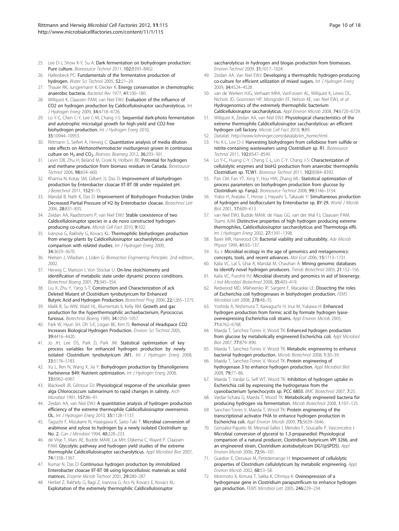- <span id="page-9-0"></span>25. Lee D-J, Show K-Y, Su A: Dark fermentation on biohydrogen production: Pure culture. Bioresource Technol 2011, 102:8393–8402.
- 26. Hallenbeck PC: Fundamentals of the fermentative production of hydrogen. Water Sci Technol 2005, 52:21–29.
- 27. Thauer RK, Jungermann K, Decker K: Energy conservation in chemotrophic anaerobic bacteria. Bacteriol Rev 1977, 41:100–180.
- 28. Willquist K, Claassen PAM, van Niel EWJ: Evaluation of the influence of CO2 on hydrogen production by Caldicellulosiruptor saccharolyticus. Int J Hydrogen Energ 2009, 34:4718–4726.
- 29. Lo Y-C, Chen C-Y, Lee C-M, Chang J-S: Sequential dark-photo fermentation and autotrophic microalgal growth for high-yield and CO2-free biohydrogen production. Int J Hydrogen Energ 2010, 35:10944–10953.
- 30. Rittmann S, Seifert A, Herwig C: Quantitative analysis of media dilution rate effects on Methanothermobacter marburgensis grown in continuous culture on  $H_2$  and  $CO_2$ . Biomass Bioenerg 2012, 36:293-301.
- 31. Levin DB, Zhu H, Beland M, Cicek N, Holbein BE: Potential for hydrogen and methane production from biomass residues in Canada. Bioresource Technol 2006, 98:654–660.
- 32. Khanna N, Kotay SM, Gilbert JJ, Das D: Improvement of biohydrogen production by Enterobacter cloacae IIT-BT 08 under regulated pH. J Biotechnol 2011, 152:9–15.
- 33. Mandal B, Nath K, Das D: Improvement of Biohydrogen Production Under Decreased Partial Pressure of H2 by Enterobacter cloacae. Biotechnol Lett 2006, 28:831–835.
- 34. Zeidan AA, Raadstroem P, van Niel EWJ: Stable coexistence of two Caldicellulosiruptor species in a de novo constructed hydrogenproducing co-culture. Microb Cell Fact 2010, 9:102.
- 35. Ivanova G, Rakhely G, Kovacs KL: Thermophilic biohydrogen production from energy plants by Caldicellulosiruptor saccharolyticus and comparison with related studies. Int J Hydrogen Energ 2009, 34:3659–3670.
- 36. Nielsen J, Villadsen J, Liden G: Bioreaction Engineering Principles. 2nd edition.; 2002.
- 37. Herwig C, Marison I, Von Stockar U: On-line stoichiometry and identification of metabolic state under dynamic process conditions. Biotechnol Bioeng 2001, 75:345–354.
- 38. Liu X, Zhu Y, Yang S-T: Construction and Characterization of ack Deleted Mutant of Clostridium tyrobutyricum for Enhanced Butyric Acid and Hydrogen Production. Biotechnol Prog 2006, 22:1265–1275.
- 39. Malik B, Su WW, Wald HL, Blumentals II, Kelly RM: Growth and gas production for the hyperthermophilic archaebacterium, Pyrococcus furiosus. Biotechnol Bioeng 1989, 34:1050–1057.
- 40. Park W, Hyun SH, Oh S-E, Logan BE, Kim IS: Removal of Headspace CO2 Increases Biological Hydrogen Production. Environ Sci Technol 2005, 39:4416–4420.
- 41. Jo JH, Lee DS, Park D, Park JM: Statistical optimization of key process variables for enhanced hydrogen production by newly isolated Clostridium tyrobutyricum JM1. Int J Hydrogen Energ 2008, 33:5176–5183.
- 42. Xu L, Ren N, Wang X, Jia Y: Biohydrogen production by Ethanoligenens harbinense B49: Nutrient optimization. Int J Hydrogen Energ 2008, 33:6962–6967.
- 43. Blackwell JR, Gilmour DJ: Physiological response of the unicellular green alga Chlorococcum submarinum to rapid changes in salinity. Arch Microbiol 1991, 157:86–91.
- 44. Zeidan AA, van Niel EWJ: A quantitative analysis of hydrogen production efficiency of the extreme thermophile Caldicellulosiruptor owensensis OL. Int J Hydrogen Energ 2010, 35:1128–1137.
- 45. Taguchi F, Mizukami N, Hasegawa K, Saito-Taki T: Microbial conversion of arabinose and xylose to hydrogen by a newly isolated Clostridium sp. No. 2. Can J Microbiol 1994, 40:228–233.
- 46. de Vrije T, Mars AE, Budde MAW, Lai MH, Dijkema C, Waard P, Claassen PAM: Glycolytic pathway and hydrogen yield studies of the extreme thermophile Caldicellulosiruptor saccharolyticus. Appl Microbiol Biot 2007, 74:1358–1367.
- 47. Kumar N, Das D: Continuous hydrogen production by immobilized Enterobacter cloacae IIT-BT 08 using lignocellulosic materials as solid matrices. Enzyme Microb Technol 2001, 29:280–287.
- 48. Herbel Z, Rakhely G, Bagi Z, Ivanova G, Acs N, Kovacs E, Kovacs KL: Exploitation of the extremely thermophilic Caldicellulosiruptor
- 49. Zeidan AA, Van Niel EWJ: Developing a thermophilic hydrogen-producing co-culture for efficient utilization of mixed sugars. Int J Hydrogen Energ 2009, 34:4524–4528.
- 50. van de Werken HJG, Verhaart MRA, VanFossen AL, Willquist K, Lewis DL, Nichols JD, Goorissen HP, Mongodin EF, Nelson KE, van Niel EWJ, et al: Hydrogenomics of the extremely thermophilic bacterium Caldicellulosiruptor saccharolyticus. Appl Environ Microb 2008, 74:6720–6729.
- 51. Willquist K, Zeidan AA, van Niel EWJ: Physiological characteristics of the extreme thermophile Caldicellulosiruptor saccharolyticus: an efficient hydrogen cell factory. Microb Cell Fact 2010, 9:89.
- 52. Datalab. [http://www.lohninger.com/datalab/en\\_home.html.](http://www.lohninger.com/datalab/en_home.html)
- 53. Ho K-L, Lee D-J: Harvesting biohydrogen from cellobiose from sulfide or nitrite-containing wastewaters using Clostridium sp. R1. Bioresource Technol 2011, 102:8547–8549.
- 54. Lo Y-C, Huang C-Y, Cheng C-L, Lin C-Y, Chang J-S: Characterization of cellulolytic enzymes and bioH2 production from anaerobic thermophilic Clostridium sp. TCW1. Bioresour Technol 2011, 102:8384–8392.
- 55. Pan CM, Fan YT, Xing Y, Hou HW, Zhang ML: Statistical optimization of process parameters on biohydrogen production from glucose by Clostridium sp. Fanp2. Bioresource Technol 2008, 99:3146–3154.
- 56. Yokoi H, Aratake T, Hirose J, Hayashi S, Takasaki Y: Simultaneous production of hydrogen and bioflocculant by Enterobacter sp. BY-29. World J Microb Biot 2001, 17:609–613.
- 57. van Niel EWJ, Budde MAW, de Haas GG, van der Wal FJ, Claassen PAM, Stams AJM: Distinctive properties of high hydrogen producing extreme thermophiles, Caldicellulosiruptor saccharolyticus and Thermotoga elfii. Int J Hydrogen Energ 2002, 27:1391–1398.
- 58. Barer MR, Harwood CR: Bacterial viability and culturability. Adv Microb Physiol 1999, 41:93–137.
- 59. Xu J: Microbial ecology in the age of genomics and metagenomics: concepts, tools, and recent advances. Mol Ecol 2006, 15:1713–1731.
- 60. Kalia VC, Lal S, Ghai R, Mandal M, Chauhan A: Mining genomic databases to identify novel hydrogen producers. Trends Biotechnol 2003, 21:152–156.
- 61. Kalia VC, Purohit HJ: Microbial diversity and genomics in aid of bioenergy. J Ind Microbiol Biotechnol 2008, 35:403–419.
- 62. Redwood MD, Mikheenko IP, Sargent F, Macaskie LE: Dissecting the roles of Escherichia coli hydrogenases in biohydrogen production. FEMS Microbiol Lett 2008, 278:48–55.
- 63. Yoshida A, Nishimura T, Kawaguchi H, Inui M, Yukawa H: Enhanced hydrogen production from formic acid by formate hydrogen lyaseoverexpressing Escherichia coli strains. Appl Environ Microb 2005, 71:6762–6768.
- 64. Maeda T, Sanchez-Torres V, Wood TK: Enhanced hydrogen production from glucose by metabolically engineered Escherichia coli. Appl Microbiol Biot 2007, 77:879–890.
- 65. Maeda T, Sanchez-Torres V, Wood TK: Metabolic engineering to enhance bacterial hydrogen production. Microb Biotechnol 2008, 1:30–39.
- 66. Maeda T, Sanchez-Torres V, Wood TK: Protein engineering of hydrogenase 3 to enhance hydrogen production. Appl Microbiol Biot 2008, 79:77–86.
- 67. Maeda T, Vardar G, Self WT, Wood TK: Inhibition of hydrogen uptake in Escherichia coli by expressing the hydrogenase from the cyanobacterium Synechocystis sp. PCC 6803. BMC Biotechnol 2007, 7:25.
- 68. Vardar-Schara G, Maeda T, Wood TK: Metabolically engineered bacteria for producing hydrogen via fermentation. Microb Biotechnol 2008, 1:107–125.
- 69. Sanchez-Torres V, Maeda T, Wood TK: Protein engineering of the transcriptional activator FhlA to enhance hydrogen production in Escherichia coli. Appl Environ Microb 2009, 75:5639–5646.
- 70. Gonzalez-Pajuelo M, Meynial-Salles I, Mendes F, Soucaille P, Vasconcelos I: Microbial conversion of glycerol to 1,3-propanediol: Physiological comparison of a natural producer, Clostridium butyricum VPI 3266, and an engineered strain, Clostridium acetobutylicum DG1(pSPD5). Appl Environ Microb 2006, 72:96–101.
- 71. Guedon E, Desvaux M, Petitdemange H: Improvement of cellulolytic properties of Clostridium cellulolyticum by metabolic engineering. Appl Environ Microb 2002, 68:53–58.
- 72. Morimoto K, Kimura T, Sakka K, Ohmiya K: Overexpression of a hydrogenase gene in Clostridium paraputrificum to enhance hydrogen gas production. FEMS Microbiol Lett 2005, 246:229–234.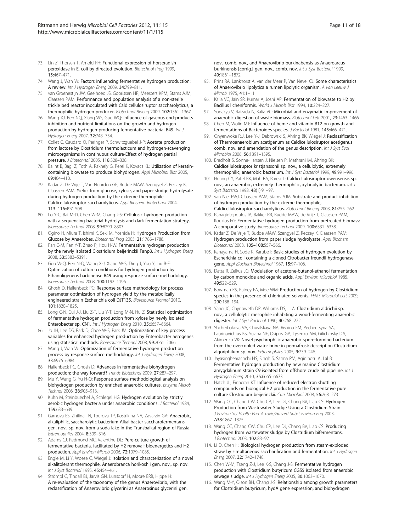- <span id="page-10-0"></span>73. Lin Z, Thorsen T, Arnold FH: Functional expression of horseradish peroxidase in E. coli by directed evolution. Biotechnol Prog 1999, 15:467–471.
- 74. Wang J, Wan W: Factors influencing fermentative hydrogen production: A review. Int J Hydrogen Energ 2009, 34:799–811.
- 75. van Groenestijn JW, Geelhoed JS, Goorissen HP, Meesters KPM, Stams AJM, Claassen PAM: Performance and population analysis of a non-sterile trickle bed reactor inoculated with Caldicellulosiruptor saccharolyticus, a thermophilic hydrogen producer. Biotechnol Bioeng 2009, 102:1361–1367.
- 76. Wang XJ, Ren NQ, Xiang WS, Guo WQ: Influence of gaseous end-products inhibition and nutrient limitations on the growth and hydrogen production by hydrogen-producing fermentative bacterial B49. Int J Hydrogen Energ 2007, 32:748–754.
- 77. Collet C, Gaudard O, Peringer P, Schwitzguebel J-P: Acetate production from lactose by Clostridium thermolacticum and hydrogen-scavenging microorganisms in continuous culture-Effect of hydrogen partial pressure. J Biotechnol 2005, 118:328–338.
- 78. Balint B, Bagi Z, Toth A, Rakhely G, Perei K, Kovacs KL: Utilization of keratincontaining biowaste to produce biohydrogen. Appl Microbiol Biot 2005, 69:404–410.
- 79. Kadar Z, De Vrije T, Van Noorden GE, Budde MAW, Szengyel Z, Reczey K, Claassen PAM: Yields from glucose, xylose, and paper sludge hydrolysate during hydrogen production by the extreme thermophile Caldicellulosiruptor saccharolyticus. Appl Biochem Biotechnol 2004, 113–116:497–508.
- 80. Lo Y-C, Bai M-D, Chen W-M, Chang J-S: Cellulosic hydrogen production with a sequencing bacterial hydrolysis and dark fermentation strategy. Bioresource Technol 2008, 99:8299–8303.
- 81. Ogino H, Miura T, Ishimi K, Seki M, Yoshida H: Hydrogen Production from Glucose by Anaerobes. Biotechnol Prog 2005, 21:1786–1788.
- 82. Pan C-M, Fan Y-T, Zhao P, Hou H-W: Fermentative hydrogen production by the newly isolated Clostridium beijerinckii Fanp3. Int J Hydrogen Energ 2008, 33:5383–5391.
- 83. Guo W-Q, Ren N-Q, Wang X-J, Xiang W-S, Ding J, You Y, Liu B-F: Optimization of culture conditions for hydrogen production by Ethanoligenens harbinense B49 using response surface methodology. Bioresource Technol 2008, 100:1192–1196.
- 84. Ghosh D, Hallenbeck PC: Response surface methodology for process parameter optimization of hydrogen yield by the metabolically engineered strain Escherichia coli DJT135. Bioresource Technol 2010, 101:1820–1825.
- 85. Long C-N, Cui J-J, Liu Z-T, Liu Y-T, Long M-N, Hu Z: Statistical optimization of fermentative hydrogen production from xylose by newly isolated Enterobacter sp. CN1. Int J Hydrogen Energ 2010, 35:6657–6664.
- 86. Jo JH, Lee DS, Park D, Choe W-S, Park JM: Optimization of key process variables for enhanced hydrogen production by Enterobacter aerogenes using statistical methods. Bioresource Technol 2008, 99:2061–2066.
- 87. Wang J, Wan W: Optimization of fermentative hydrogen production process by response surface methodology. Int J Hydrogen Energ 2008, 33:6976–6984.
- 88. Hallenbeck PC, Ghosh D: Advances in fermentative biohydrogen production: the way forward? Trends Biotechnol 2009, 27:287-297.
- 89. Mu Y, Wang G, Yu H-Q: Response surface methodological analysis on biohydrogen production by enriched anaerobic cultures. Enzyme Microb Technol 2006, 38:905–913.
- 90. Kuhn M, Steinbuechel A, Schlegel HG: Hydrogen evolution by strictly aerobic hydrogen bacteria under anaerobic conditions. J Bacteriol 1984, 159:633–639.
- 91. Garnova ES, Zhilina TN, Tourova TP, Kostrikina NA, Zavarzin GA: Anaerobic, alkaliphilic, saccharolytic bacterium Alkalibacter saccharofermentans gen. nov., sp. nov. from a soda lake in the Transbaikal region of Russia. Extremophiles 2004, 8:309–316.
- 92. Adams CJ, Redmond MC, Valentine DL: Pure-culture growth of fermentative bacteria, facilitated by H2 removal: bioenergetics and H2 production. Appl Environ Microb 2006, 72:1079–1085.
- 93. Engle M, Li Y, Woese C, Wiegel J: Isolation and characterization of a novel alkalitolerant thermophile, Anaerobranca horikoshii gen. nov., sp. nov. Int J Syst Bacteriol 1995, 45:454–461.
- 94. Strömpl C, Tindall BJ, Jarvis GN, Lunsdorf H, Moore ERB, Hippe H: A re-evaluation of the taxonomy of the genus Anaerovibrio, with the reclassification of Anaerovibrio glycerini as Anaerosinus glycerini gen.

nov., comb. nov., and Anaerovibrio burkinabensis as Anaeroarcus burkinensis [corrig.] gen. nov., comb. nov. Int J Syst Bacteriol 1999, 49:1861–1872.

- 95. Prins RA, Lankhorst A, van der Meer P, Van Nevel CJ: Some characteristics of Anaerovibrio lipolytica a rumen lipolytic organism. A van Leeuw J Microb 1975, 41:1–11.
- 96. Kalia VC, Jain SR, Kumar A, Joshi AP: Fermentation of biowaste to H2 by Bacillus licheniformis. World J Microb Biot 1994, 10:224–227.
- 97. Sonakya V, Raizada N, Kalia VC: Microbial and enzymatic improvement of anaerobic digestion of waste biomass. Biotechnol Lett 2001, 23:1463–1466.
- Chen M, Wolin MJ: Influence of heme and vitamin B12 on growth and fermentations of Bacteroides species. J Bacteriol 1981, 145:466–471.
- 99. Onyenwoke RU, Lee Y-J, Dabrowski S, Ahring BK, Wiegel J: Reclassification of Thermoanaerobium acetigenum as Caldicellulosiruptor acetigenus comb. nov. and emendation of the genus description. Int J Syst Evol Microbiol 2006, 56:1391–1395.
- 100. Bredholt S, Sonne-Hansen J, Nielsen P, Mathrani IM, Ahring BK: Caldicellulosiruptor kristjanssonii sp. nov., a cellulolytic, extremely thermophilic, anaerobic bacterium. Int J Syst Bacteriol 1999, 49:991-996.
- 101. Huang CY, Patel BK, Mah RA, Baresi L: Caldicellulosiruptor owensensis sp. nov., an anaerobic, extremely thermophilic, xylanolytic bacterium. Int J Syst Bacteriol 1998, 48(1):91–97.
- 102. van Niel EWJ, Claassen PAM, Stams AJM: Substrate and product inhibition of hydrogen production by the extreme thermophile, Caldicellulosiruptor saccharolyticus. Biotechnol Bioeng 2003, 81:255–262.
- 103. Panagiotopoulos IA, Bakker RR, Budde MAW, de Vrije T, Claassen PAM, Koukios EG: Fermentative hydrogen production from pretreated biomass: A comparative study. Bioresource Technol 2009, 100:6331–6338.
- 104. Kadar Z, De Vrije T, Budde MAW, Szengyel Z, Reczey K, Claassen PAM: Hydrogen production from paper sludge hydrolysate. Appl Biochem Biotechnol 2003, 105–108:557–566.
- 105. Kanayama H, Sode K, Karube I: Basic studies of hydrogen evolution by Escherichia coli containing a cloned Citrobacter freundii hydrogenase gene. Appl Biochem Biotechnol 1987, 15:97–106.
- 106. Datta R, Zeikus JG: Modulation of acetone-butanol-ethanol fermentation by carbon monoxide and organic acids. Appl Environ Microbiol 1985, 49:522–529.
- 107. Bowman KS, Rainey FA, Moe WM: Production of hydrogen by Clostridium species in the presence of chlorinated solvents. FEMS Microbiol Lett 2009, 290:188–194.
- 108. Yang JC, Chynoweth DP, Williams DS, Li A: Clostridium aldrichii sp. nov., a cellulolytic mesophile inhabiting a wood-fermenting anaerobic digester. Int J Syst Bacteriol 1990, 40:268-272.
- 109. Shcherbakova VA, Chuvilskaya NA, Rivkina EM, Pecheritsyna SA, Laurinavichius KS, Suzina NE, Osipov GA, Lysenko AM, Gilichinsky DA, Akimenko VK: Novel psychrophilic anaerobic spore-forming bacterium from the overcooled water brine in permafrost: description Clostridium algoriphilum sp. nov. Extremophiles 2005, 9:239–246.
- 110. Jayasinghearachchi HS, Singh S, Sarma PM, Aginihotri A, Lal B: Fermentative hydrogen production by new marine Clostridium amygdalinum strain C9 isolated from offshore crude oil pipeline. Int J Hydrogen Energ 2010, 35:6665–6673.
- 111. Hatch JL, Finneran KT: Influence of reduced electron shuttling compounds on biological H2 production in the fermentative pure culture Clostridium beijerinckii. Curr Microbiol 2008, 56:268–273.
- 112. Wang CC, Chang CW, Chu CP, Lee DJ, Chang BV, Liao CS: Hydrogen Production from Wastewater Sludge Using a Clostridium Strain. J Environ Sci Health Part A Toxic/Hazard Subst Environ Eng 2003, A38:1867–1875.
- 113. Wang CC, Chang CW, Chu CP, Lee DJ, Chang BV, Liao CS: Producing hydrogen from wastewater sludge by Clostridium bifermentans. J Biotechnol 2003, 102:83–92.
- 114. Li D, Chen H: Biological hydrogen production from steam-exploded straw by simultaneous saccharification and fermentation. Int J Hydrogen Energ 2007, 32:1742–1748.
- 115. Chen W-M, Tseng Z-J, Lee K-S, Chang J-S: Fermentative hydrogen production with Clostridium butyricum CGS5 isolated from anaerobic sewage sludge. Int J Hydrogen Energ 2005, 30:1063–1070.
- 116. Wang M-Y, Olson BH, Chang J-S: Relationship among growth parameters for Clostridium butyricum, hydA gene expression, and biohydrogen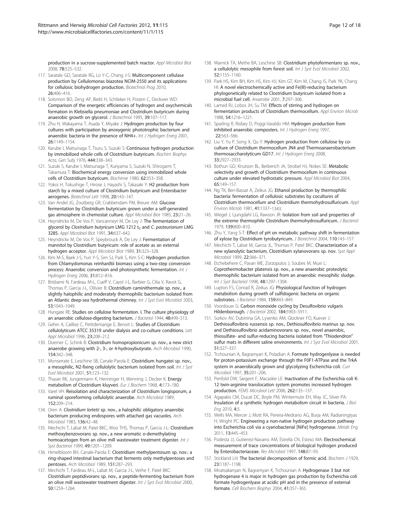production in a sucrose-supplemented batch reactor. Appl Microbiol Biot 2008, 78:525–532.

- 117. Saratale GD, Saratale RG, Lo Y-C, Chang J-S: Multicomponent cellulase production by Cellulomonas biazotea NCIM-2550 and its applications for cellulosic biohydrogen production. Biotechnol Prog 2010, 26:406–416.
- 118. Solomon BO, Zeng AP, Biebl H, Schlieker H, Posten C, Deckwer WD: Comparison of the energetic efficiencies of hydrogen and oxychemicals formation in Klebsiella pneumoniae and Clostridium butyricum during anaerobic growth on glycerol. J Biotechnol 1995, 39:107-117
- 119. Zhu H, Wakayama T, Asada Y, Miyake J: Hydrogen production by four cultures with participation by anoxygenic phototrophic bacterium and anaerobic bacteria in the presence of NH4+. Int J Hydrogen Energ 2001, 26:1149–1154.
- 120. Karube I, Matsunaga T, Tsuru S, Suzuki S: Continuous hydrogen production by immobilized whole cells of Clostridium butyricum. Biochim Biophys Acta, Gen Subj 1976, 444:338–343.
- 121. Suzuki S, Karube I, Matsunaga T, Kuriyama S, Suzuki N, Shirogami T, Takamura T: Biochemical energy conversion using immobilized whole cells of Clostridium butyricum. Biochimie 1980, 62:353–358.
- 122. Yokoi H, Tokushige T, Hirose J, Hayashi S, Takasaki Y: H2 production from starch by a mixed culture of Clostridium butyricum and Enterobacter aerogenes. Biotechnol Lett 1998, 20:143–147.
- 123. Van Andel JG, Zoutberg GR, Crabbendam PM, Breure AM: Glucose fermentation by Clostridium butyricum grown under a self-generated gas atmosphere in chemostat culture. Appl Microbiol Biot 1985, 23:21–26.
- 124. Heyndrickx M, De Vos P, Vancanneyt M, De Ley J: The fermentation of glycerol by Clostridium butyricum LMG 1212  $t<sub>2</sub>$  and C. pasteurianum LMG 3285. Appl Microbiol Biot 1991, 34:637–642.
- 125. Heyndrickx M, De Vos P, Speybrouck A, De Ley J: Fermentation of mannitol by Clostridium butyricum: role of acetate as an external hydrogen acceptor. Appl Microbiol Biot 1989, 31:323–328.
- 126. Kim M-S, Baek J-S, Yun Y-S, Sim SJ, Park S, Kim S-C: Hydrogen production from Chlamydomonas reinhardtii biomass using a two-step conversion process: Anaerobic conversion and photosynthetic fermentation. Int J Hydrogen Energ 2006, 31:812–816.
- 127. Brisbarre N, Fardeau M-L, Cueff V, Cayol J-L, Barbier G, Cilia V, Ravot G, Thomas P, Garcia J-L, Ollivier B: Clostridium caminithermale sp. nov., a slightly halophilic and moderately thermophilic bacterium isolated from an Atlantic deep-sea hydrothermal chimney. Int J Syst Evol Microbiol 2003, 53:1043–1049.
- 128. Hungate RE: Studies on cellulose fermentation. I. The culture physiology of an anaerobic cellulose-digesting bacterium. J Bacteriol 1944, 48:499-513.
- 129. Gehin A, Cailliez C, Petitdemange E, Benoit L: Studies of Clostridium cellulolyticum ATCC 35319 under dialysis and co-culture conditions. Lett Appl Microbiol 1996, 23:208–212.
- 130. Doerner C, Schink B: Clostridium homopropionicum sp. nov., a new strict anaerobe growing with 2-, 3-, or 4-hydroxybutyrate. Arch Microbiol 1990, 154:342–348.
- 131. Monserrate E, Leschine SB, Canale-Parola E: Clostridium hungatei sp. nov., a mesophilic, N2-fixing cellulolytic bacterium isolated from soil. Int J Syst Evol Microbiol 2001, 51:123–132.
- 132. Thauer RK, Jungermann K, Henninger H, Wenning J, Decker K: Energy metabolism of Clostridium kluyveri. Eur J Biochem 1968, 4:173–180.
- 133. Varel VH: Reisolation and characterization of Clostridium longisporum, a ruminal sporeforming cellulolytic anaerobe. Arch Microbiol 1989, 152:209–214.
- 134. Oren A: Clostridium lortetii sp. nov., a halophilic obligatory anaerobic bacterium producing endospores with attached gas vacuoles. Arch Microbiol 1983, 136:42–48.
- 135. Mechichi T, Labat M, Patel BKC, Woo THS, Thomas P, Garcia J-L: Clostridium methoxybenzovorans sp. nov., a new aromatic o-demethylating homoacetogen from an olive mill wastewater treatment digester. Int J Syst Bacteriol 1999, 49:1201–1209.
- 136. Himelbloom BH, Canale-Parola E: Clostridium methylpentosum sp. nov.: a ring-shaped intestinal bacterium that ferments only methylpentoses and pentoses. Arch Microbiol 1989, 151:287–293.
- 137. Mechichi T, Fardeau M-L, Labat M, Garcia J-L, Verhe F, Patel BKC: Clostridium peptidivorans sp. nov., a peptide-fermenting bacterium from an olive mill wastewater treatment digester. Int J Syst Evol Microbiol 2000, 50:1259–1264.
- 138. Warnick TA, Methe BA, Leschine SB: Clostridium phytofermentans sp. nov., a cellulolytic mesophile from forest soil. Int J Syst Evol Microbiol 2002, 52:1155–1160.
- 139. Park HS, Kim BH, Kim HS, Kim HJ, Kim GT, Kim M, Chang IS, Park YK, Chang HI: A novel electrochemically active and Fe(III)-reducing bacterium phylogenetically related to Clostridium butyricum isolated from a microbial fuel cell. Anaerobe 2001, 7:297–306.
- 140. Lamed RJ, Lobos JH, Su TM: Effects of stirring and hydrogen on fermentation products of Clostridium thermocellum. Appl Environ Microb 1988, 54:1216–1221.
- 141. Sparling R, Risbey D, Poggi-Varaldo HM: Hydrogen production from inhibited anaerobic composters. Int J Hydrogen Energ 1997, 22:563–566.
- 142. Liu Y, Yu P, Song X, Qu Y: Hydrogen production from cellulose by coculture of Clostridium thermocellum JN4 and Thermoanaerobacterium thermosaccharolyticum GD17. Int J Hydrogen Energ 2008, 33:2927–2933.
- 143. Bothun GD, Knutson BL, Berberich JA, Strobel HJ, Nokes SE: Metabolic selectivity and growth of Clostridium thermocellum in continuous culture under elevated hydrostatic pressure. Appl Microbiol Biot 2004, 65:149–157.
- 144. Ng TK, Ben-Bassat A, Zeikus JG: Ethanol production by thermophilic bacteria: fermentation of cellulosic substrates by cocultures of Clostridium thermocellum and Clostridium thermohydrosulfuricum. Appl Environ Microb 1981, 41:1337–1343.
- 145. Wiegel J, Ljungdahl LG, Rawson JR: Isolation from soil and properties of the extreme thermophile Clostridium thermohydrosulfuricum. J Bacteriol 1979, 139:800–810.
- 146. Zhu Y, Yang S-T: Effect of pH on metabolic pathway shift in fermentation of xylose by Clostridium tyrobutyricum. J Biotechnol 2004, 110:143–157.
- 147. Mechichi T, Labat M, Garcia JL, Thomas P, Patel BKC: Characterization of a new xylanolytic bacterium, Clostridium xylanovorans sp. nov. Syst Appl Microbiol 1999, 22:366–371.
- 148. Etchebehere C, Pavan ME, Zorzopulos J, Soubes M, Muxi L: Coprothermobacter platensis sp. nov., a new anaerobic proteolytic thermophilic bacterium isolated from an anaerobic mesophilic sludge. Int J Syst Bacteriol 1998, 48:1297–1304.
- 149. Lupton FS, Conrad R, Zeikus JG: Physiological function of hydrogen metabolism during growth of sulfidogenic bacteria on organic substrates. *J Bacteriol* 1984, 159:843-849.
- 150. Voordouw G: Carbon monoxide cycling by Desulfovibrio vulgaris Hildenborough. J Bacteriol 2002, 184:5903–5911.
- 151. Surkov AV, Dubinina GA, Lysenko AM, Glockner FO, Kuever J: Dethiosulfovibrio russensis sp. nov., Dethiosulfovibrio marinus sp. nov. and Dethiosulfovibrio acidaminovorans sp. nov., novel anaerobic, thiosulfate- and sulfur-reducing bacteria isolated from "Thiodendron" sulfur mats in different saline environments. Int J Syst Evol Microbiol 2001, 51:327–337.
- 152. Trchounian A, Bagramyan K, Poladian A: Formate hydrogenlyase is needed for proton-potassium exchange through the F0F1-ATPase and the TrkA system in anaerobically grown and glycolyzing Escherichia coli. Curr Microbiol 1997, 35:201–206.
- 153. Penfold DW, Sargent F, Macaskie LE: Inactivation of the Escherichia coli K-12 twin-arginine translocation system promotes increased hydrogen production. FEMS Microbiol Lett 2006, 262:135–137.
- 154. Agapakis CM, Ducat DC, Boyle PM, Wintermute EH, Way JC, Silver PA: Insulation of a synthetic hydrogen metabolism circuit in bacteria. J Biol Eng 2010, 4:3.
- 155. Wells MA, Mercer J, Mott RA, Pereira-Medrano AG, Burja AM, Radianingtyas H, Wright PC: Engineering a non-native hydrogen production pathway into Escherichia coli via a cyanobacterial [NiFe] hydrogenase. Metab Eng 2011, 13:445–453.
- 156. Podesta JJ, Gutierrez-Navarro AM, Estrella CN, Esteso MA: Electrochemical measurement of trace concentrations of biological hydrogen produced by Enterobacteriaceae. Res Microbiol 1997, 148:87–93.
- 157. Stickland LH: The bacterial decomposition of formic acid. Biochem J 1929, 23:1187–1198.
- 158. Mnatsakanyan N, Bagramyan K, Trchounian A: Hydrogenase 3 but not hydrogenase 4 is major in hydrogen gas production by Escherichia coli formate hydrogenlyase at acidic pH and in the presence of external formate. Cell Biochem Biophys 2004, 41:357–365.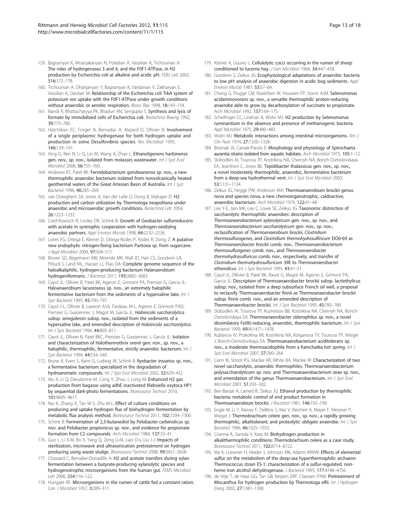- 159. Bagramyan K, Mnatsakanyan N, Poladian A, Vassilian A, Trchounian A: The roles of hydrogenases 3 and 4, and the F0F1-ATPase, in H2 production by Escherichia coli at alkaline and acidic pH. FEBS Lett 2002, 516:172–178.
- 160. Trchounian A, Ohanjanyan Y, Bagramyan K, Vardanian V, Zakharyan E, Vassilian A, Davtian M: Relationship of the Escherichia coli TrkA system of potassium ion uptake with the F0F1-ATPase under growth conditions without anaerobic or aerobic respiration. Biosci Rep 1998, 18:143-154.
- 161. Nandi R, Bhattacharyya PK, Bhaduri AN, Sengupta S: Synthesis and lysis of formate by immobilized cells of Escherichia coli. Biotechnol Bioeng 1992, 39:775–780.
- 162. Hatchikian EC, Forget N, Bernadac A, Alazard D, Ollivier B: Involvement of a single periplasmic hydrogenase for both hydrogen uptake and production in some Desulfovibrio species. Res Microbiol 1995, 146:129–141.
- 163. Xing D, Ren N, Li Q, Lin M, Wang A, Zhao L: Ethanoligenens harbinense gen. nov., sp. nov., isolated from molasses wastewater. Int J Syst Evol Microbiol 2006, 56:755–760.
- 164. Andrews KT, Patel BK: Fervidobacterium gondwanense sp. nov., a new thermophilic anaerobic bacterium isolated from nonvolcanically heated geothermal waters of the Great Artesian Basin of Australia. Int J Syst Bacteriol 1996, 46:265–269.
- 165. van Ooteghem SA, Jones A, Van der Lelie D, Dong B, Mahajan D: H2 production and carbon utilization by Thermotoga neapolitana under anaerobic and microaerobic growth conditions. Biotechnol Lett 2004, 26:1223–1232.
- 166. Cord-Ruwisch R, Lovley DR, Schink B: Growth of Geobacter sulfurreducens with acetate in syntrophic cooperation with hydrogen-oxidizing anaerobic partners. Appl Environ Microb 1998, 64:2232–2236.
- 167. Loiret FG, Ortega E, Kleiner D, Ortega-Rodes P, Rodes R, Dong Z: A putative new endophytic nitrogen-fixing bacterium Pantoea sp. from sugarcane. J Appl Microbiol 2004, 97:504–511.
- 168. Brown SD, Begemann MB, Mormile MR, Wall JD, Han CS, Goodwin LA, Pitluck S, Land ML, Hauser LJ, Elias DA: Complete genome sequence of the haloalkaliphilic, hydrogen-producing bacterium Halanaerobium hydrogeniformans. J Bacteriol 2011, 193:3682–3683.
- 169. Cayol JL, Ollivier B, Patel BK, Ageron E, Grimont PA, Prensier G, Garcia JL: Haloanaerobium lacusroseus sp. nov., an extremely halophilic fermentative bacterium from the sediments of a hypersaline lake. Int J Syst Bacteriol 1995, 45:790–797.
- 170. Cayol J-L, Ollivier B, Lawson ASA, Fardeau M-L, Ageron E, Grimont PAD, Prensier G, Guezennec J, Magot M, Garcia JL: Haloincola saccharolytica subsp. senegalensis subsp. nov., isolated from the sediments of a hypersaline lake, and emended description of Haloincola saccharolytica. Int J Syst Bacteriol 1994, 44:805–811.
- 171. Cayol JL, Ollivier B, Patel BKC, Prensier G, Guezennec J, Garcia JL: Isolation and characterization of Halothermothrix orenii gen. nov., sp. nov., a halophilic, thermophilic, fermentative, strictly anaerobic bacterium. Int J Syst Bacteriol 1994, 44:534–540.
- 172. Brune A, Evers S, Kaim G, Ludwig W, Schink B: Ilyobacter insuetus sp. nov., a fermentative bacterium specialized in the degradation of hydroaromatic compounds. Int J Syst Evol Microbiol 2002, 52:429-432.
- 173. Wu X, Li Q, Dieudonne M, Cong Y, Zhou J, Long M: Enhanced H2 gas production from bagasse using adhE inactivated Klebsiella oxytoca HP1 by sequential dark-photo fermentations. Bioresource Technol 2010, 101:9605–9611.
- 174. Niu K, Zhang X, Tan W-S, Zhu M-L: Effect of culture conditions on producing and uptake hydrogen flux of biohydrogen fermentation by metabolic flux analysis method. Bioresource Technol 2011, 102:7294–7300.
- 175. Schink B: Fermentation of 2,3-butanediol by Pelobacter carbinolicus sp. nov. and Pelobacter propionicus sp. nov., and evidence for propionate formation from C2 compounds. Arch Microbiol 1984, 137:33–41.
- 176. Guo L, Li X-M, Bo X, Yang Q, Zeng G-M, Liao D-x, Liu J-J: Impacts of sterilization, microwave and ultrasonication pretreatment on hydrogen producing using waste sludge. Bioresource Technol 2008, 99:3651–3658.
- 177. Chassard C, Bernalier-Donadille A: H2 and acetate transfers during xylan fermentation between a butyrate-producing xylanolytic species and hydrogenotrophic microorganisms from the human gut. FEMS Microbiol Lett 2006, 254:116–122.
- 178. Hungate RE: Microorganisms in the rumen of cattle fed a constant ration. Can J Microbiol 1957, 3:289–311.
- 179. Kistner A, Gouws L: Cellulolytic cocci occurring in the rumen of sheep conditioned to lucerne hay. J Gen Microbiol 1964, 34:447–458.
- 180. Goodwin S, Zeikus JG: Ecophysiological adaptations of anaerobic bacteria to low pH: analysis of anaerobic digestion in acidic bog sediments. Appl Environ Microb 1987, 53:57–64.
- 181. Cheng G, Plugge CM, Roelofsen W, Houwen FP, Stams AJM: Selenomonas acidaminovorans sp. nov., a versatile thermophilic proton-reducing anaerobe able to grow by decarboxylation of succinate to propionate. Arch Microbiol 1992, 157:169–175.
- 182. Scheifinger CC, Linehan B, Wolin MJ: H2 production by Selenomonas ruminantium in the absence and presence of methanogenic bacteria. Appl Microbiol 1975, 29:480–483.
- 183. Wolin MJ: Metabolic interactions among intestinal microorganisms. Am J Clin Nutr 1974, 27:1320–1328.
- 184. Breznak JA, Canale-Parola E: Morphology and physiology of Spirochaeta aurantia strains isolated from aquatic habitats. Arch Microbiol 1975, 105:1–12.
- 185. Slobodkin AI, Tourova TP, Kostrikina NA, Chernyh NA, Bonch-Osmolovskaya EA, Jeanthon C, Jones BE: Tepidibacter thalassicus gen. nov., sp. nov., a novel moderately thermophilic, anaerobic, fermentative bacterium from a deep-sea hydrothermal vent. Int J Syst Evol Microbiol 2003, 53:1131–1134.
- 186. Zeikus JG, Hegge PW, Anderson MA: Thermoanaerobium brockii genus nova and species nova, a new chemoorganotrophic, caldoactive, anaerobic bacterium. Arch Microbiol 1979, 122:41–48.
- 187. Lee Y-E, Jain MK, Lee C, Lowe SE, Zeikus JG: Taxonomic distinction of saccharolytic thermophilic anaerobes: description of Thermoanaerobacterium xylanolyticum gen. nov., sp. nov., and Thermoanaerobacterium saccharolyticum gen. nov., sp. nov.; reclassification of Thermoanaerobium brockii, Clostridium thermosulfurogenes, and Clostridium thermohydrosulfiricum ElO0-69 as Thermoanaerobacter brockii comb. nov., Thermoanaerobacterium thermosulfurigenes comb. nov., and Thermoanaerobacter thermohydrosulfuricus comb. nov., respectively; and transfer of Clostridium thermohydrosulfuricum 39E to Thermoanaerobacter ethanolicus. Int J Syst Bacteriol 1993, 43:41–51.
- 188. Cayol JL, Ollivier B, Patel BK, Ravot G, Magot M, Ageron E, Grimont PA, Garcia JL: Description of Thermoanaerobacter brockii subsp. lactiethylicus subsp. nov., isolated from a deep subsurface French oil well, a proposal to reclassify Thermoanaerobacter finnii as Thermoanaerobacter brockii subsp. finnii comb. nov., and an emended description of Thermoanaerobacter brockii. Int J Syst Bacteriol 1995, 45:783–789.
- 189. Slobodkin AI, Tourova TP, Kuznetsov BB, Kostrikina NA, Chernyh NA, Bonch-Osmolovskaya EA: Thermoanaerobacter siderophilus sp. nov., a novel dissimilatory Fe(III)-reducing, anaerobic, thermophilic bacterium. Int J Syst Bacteriol 1999, 49(4):1471–1478.
- 190. Kublanov IV, Prokofeva MI, Kostrikina NA, Kolganova TV, Tourova TP, Wiegel J, Bonch-Osmolovskaya EA: Thermoanaerobacterium aciditolerans sp. nov., a moderate thermoacidophile from a Kamchatka hot spring. Int J Syst Evol Microbiol 2007, 57:260-264.
- 191. Cann IK, Stroot PG, Mackie KR, White BA, Mackie RI: Characterization of two novel saccharolytic, anaerobic thermophiles, Thermoanaerobacterium polysaccharolyticum sp. nov. and Thermoanaerobacterium zeae sp. nov., and emendation of the genus Thermoanaerobacterium. Int J Syst Evol Microbiol 2001, 51:293–302.
- 192. Ben-Bassat A, Lamed R, Zeikus JG: Ethanol production by thermophilic bacteria: metabolic control of end product formation in Thermoanaerobium brockii. J Bacteriol 1981, 146:192–199.
- 193. Engle M, Li Y, Rainey F, DeBlois S, Mai V, Reichert A, Mayer F, Messner P, Wiegel J: Thermobrachium celere gen. nov., sp. nov., a rapidly growing thermophilic, alkalitolerant, and proteolytic obligate anaerobe. Int J Syst Bacteriol 1996, 46:1025–1033.
- 194. Ciranna A, Santala V, Karp M: Biohydrogen production in alkalithermophilic conditions: Thermobrachium celere as a case study. Bioresource Technol 2011, 102:8714–8722.
- 195. Ma K, Loessner H, Heider J, Johnson MK, Adams MWW: Effects of elemental sulfur on the metabolism of the deep-sea hyperthermophilic archaeon Thermococcus strain ES-1: characterization of a sulfur-regulated, nonheme iron alcohol dehydrogenase. J Bacteriol 1995, 177:4748-4756.
- 196. de Vrije T, de Haas GG, Tan GB, Keijsers ERP, Claassen PAM: Pretreatment of Miscanthus for hydrogen production by Thermotoga elfii. Int J Hydrogen Energ 2002, 27:1381–1390.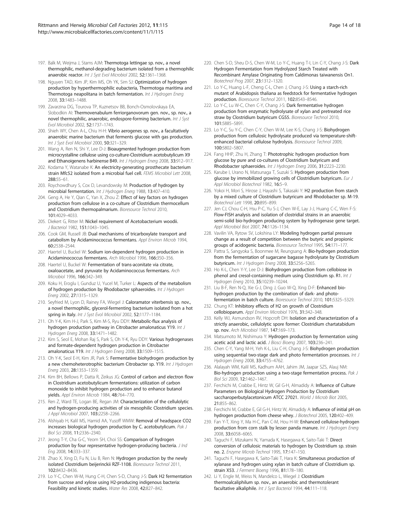- 197. Balk M, Weijma J, Stams AJM: Thermotoga lettingae sp. nov., a novel thermophilic, methanol-degrading bacterium isolated from a thermophilic anaerobic reactor. Int J Syst Evol Microbiol 2002, 52:1361-1368.
- 198. Nguyen TAD, Kim JP, Kim MS, Oh YK, Sim SJ: Optimization of hydrogen production by hyperthermophilic eubacteria, Thermotoga maritima and Thermotoga neapolitana in batch fermentation. Int J Hydrogen Energ 2008, 33:1483–1488.
- 199. Zavarzina DG, Tourova TP, Kuznetsov BB, Bonch-Osmolovskaya EA, Slobodkin AI: Thermovenabulum ferriorganovorum gen. nov., sp. nov., a novel thermophilic, anaerobic, endospore-forming bacterium. Int J Syst Evol Microbiol 2002, 52:1737–1743.
- 200. Shieh WY, Chen A-L, Chiu H-H: Vibrio aerogenes sp. nov., a facultatively anaerobic marine bacterium that ferments glucose with gas production. Int J Syst Evol Microbiol 2000, 50:321-329.
- 201. Wang A, Ren N, Shi Y, Lee D-J: Bioaugmented hydrogen production from microcrystalline cellulose using co-culture-Clostridium acetobutylicum X9 and Ethanoigenens harbinense B49. Int J Hydrogen Energ 2008, 33:912–917.
- 202. Kodama Y, Watanabe K: An electricity-generating prosthecate bacterium strain Mfc52 isolated from a microbial fuel cell. FEMS Microbiol Lett 2008, 288:55–61.
- 203. Roychowdhury S, Cox D, Levandowsky M: Production of hydrogen by microbial fermentation. Int J Hydrogen Energ 1988, 13:407–410.
- 204. Geng A, He Y, Qian C, Yan X, Zhou Z: Effect of key factors on hydrogen production from cellulose in a co-culture of Clostridium thermocellum and Clostridium thermopalmarium. Bioresource Technol 2010, 101:4029–4033.
- 205. Diekert G, Ritter M: Nickel requirement of Acetobacterium woodii. J Bacteriol 1982, 151:1043–1045.
- 206. Cook GM, Russell JB: Dual mechanisms of tricarboxylate transport and catabolism by Acidaminococcus fermentans. Appl Environ Microb 1994, 60:2538–2544.
- 207. Haertel U, Buckel W: Sodium ion-dependent hydrogen production in Acidaminococcus fermentans. Arch Microbiol 1996, 166:350–356.
- 208. Haertel U, Buckel W: Fermentation of trans-aconitate via citrate, oxaloacetate, and pyruvate by Acidaminococcus fermentans. Arch Microbiol 1996, 166:342–349.
- 209. Koku H, Eroglu I, Gunduz U, Yucel M, Turker L: Aspects of the metabolism of hydrogen production by Rhodobacter sphaeroides. Int J Hydrogen Energ 2002, 27:1315–1329.
- 210. Seyfried M, Lyon D, Rainey FA, Wiegel J: Caloramator viterbensis sp. nov., a novel thermophilic, glycerol-fermenting bacterium isolated from a hot spring in Italy. Int J Syst Evol Microbiol 2002, 52:1177-1184.
- 211. Oh Y-K, Kim H-J, Park S, Kim M-S, Ryu DDY: Metabolic-flux analysis of hydrogen production pathway in Citrobacter amalonaticus Y19. Int J Hydrogen Energ 2008, 33:1471–1482.
- 212. Kim S, Seol E, Mohan Raj S, Park S, Oh Y-K, Ryu DDY: Various hydrogenases and formate-dependent hydrogen production in Citrobacter amalonaticus Y19. Int J Hydrogen Energ 2008, 33:1509–1515.
- 213. Oh Y-K, Seol E-H, Kim JR, Park S: Fermentative biohydrogen production by a new chemoheterotrophic bacterium Citrobacter sp. Y19. Int J Hydrogen Energ 2003, 28:1353–1359.
- 214. Kim BH, Bellows P, Datta R, Zeikus JG: Control of carbon and electron flow in Clostridium acetobutylicum fermentations: utilization of carbon monoxide to inhibit hydrogen production and to enhance butanol yields. Appl Environ Microb 1984, 48:764–770.
- 215. Ren Z, Ward TE, Logan BE, Regan JM: Characterization of the cellulolytic and hydrogen-producing activities of six mesophilic Clostridium species. J Appl Microbiol 2007, 103:2258-2266
- 216. Alshiyab H, Kalil MS, Hamid AA, Yusoff WMW: Removal of headspace CO2 increases biological hydrogen production by C. acetobutylicum. Pak J Biol Sci 2008, 11:2336–2340.
- 217. Jeong T-Y, Cha G-C, Yeom SH, Choi SS: Comparison of hydrogen production by four representative hydrogen-producing bacteria. J Ind Eng 2008, 14:333–337.
- 218. Zhao X, Xing D, Fu N, Liu B, Ren N: Hydrogen production by the newly isolated Clostridium beijerinckii RZF-1108. Bioresource Technol 2011, 102:8432–8436.
- 219. Lo Y-C, Chen W-M, Hung C-H, Chen S-D, Chang J-S: Dark H2 fermentation from sucrose and xylose using H2-producing indigenous bacteria: Feasibility and kinetic studies. Water Res 2008, 42:827–842.
- 220. Chen S-D, Sheu D-S, Chen W-M, Lo Y-C, Huang T-I, Lin C-Y, Chang J-S: Dark Hydrogen Fermentation from Hydrolyzed Starch Treated with Recombinant Amylase Originating from Caldimonas taiwanensis On1. Biotechnol Prog 2007, 23:1312–1320.
- 221. Lo Y-C, Huang L-F, Cheng C-L, Chen J, Chang J-S: Using a starch-rich mutant of Arabidopsis thaliana as feedstock for fermentative hydrogen production. Bioresource Technol 2011, 102:8543–8546.
- 222. Lo Y-C, Lu W-C, Chen C-Y, Chang J-S: Dark fermentative hydrogen production from enzymatic hydrolysate of xylan and pretreated rice straw by Clostridium butyricum CGS5. Bioresource Technol 2010, 101:5885–5891.
- 223. Lo Y-C, Su Y-C, Chen C-Y, Chen W-M, Lee K-S, Chang J-S: Biohydrogen production from cellulosic hydrolysate produced via temperature-shiftenhanced bacterial cellulose hydrolysis. Bioresource Technol 2009, 100:5802–5807.
- 224. Fang HHP, Zhu H, Zhang T: Phototrophic hydrogen production from glucose by pure and co-cultures of Clostridium butyricum and Rhodobacter sphaeroides. Int J Hydrogen Energ 2006, 31:2223-2230
- 225. Karube I, Urano N, Matsunaga T, Suzuki S: Hydrogen production from glucose by immobilized growing cells of Clostridium butyricum. Eur J Appl Microbiol Biotechnol 1982, 16:5–9.
- 226. Yokoi H, Mori S, Hirose J, Hayashi S, Takasaki Y: H2 production from starch by a mixed culture of Clostridium butyricum and Rhodobacter sp. M-19. Biotechnol Lett 1998, 20:895–899.
- 227. Jen CJ, Chou C-H, Hsu P-C, Yu S-J, Chen W-E, Lay J-J, Huang C-C, Wen F-S: Flow-FISH analysis and isolation of clostridial strains in an anaerobic semi-solid bio-hydrogen producing system by hydrogenase gene target. Appl Microbiol Biot 2007, 74:1126-1134.
- 228. Vavilin VA, Rytow SV, Lokshina LY: Modeling hydrogen partial pressure change as a result of competition between the butyric and propionic groups of acidogenic bacteria. Bioresource Technol 1995, 54:171–177.
- 229. Pattra S, Sangyoka S, Boonmee M, Reungsang A: Bio-hydrogen production from the fermentation of sugarcane bagasse hydrolysate by Clostridium butyricum. Int J Hydrogen Energ 2008, 33:5256–5265.
- 230. Ho K-L, Chen Y-Y, Lee D-J: Biohydrogen production from cellobiose in phenol and cresol-containing medium using Clostridium sp. R1. Int J Hydrogen Energ 2010, 35:10239–10244.
- 231. Liu B-F, Ren N-Q, Xie G-J, Ding J, Guo W-Q, Xing D-F: Enhanced biohydrogen production by the combination of dark- and photofermentation in batch culture. Bioresource Technol 2010, 101:5325–5329.
- 232. Chung KT: Inhibitory effects of H2 on growth of Clostridium cellobioparum. Appl Environ Microbiol 1976, 31:342–348.
- 233. Kelly WJ, Asmundson RV, Hopcroft DH: Isolation and characterization of a strictly anaerobic, cellulolytic spore former: Clostridium chartatabidum sp. nov. Arch Microbiol 1987, 147:169–173.
- 234. Matsumoto M, Nishimura Y: Hydrogen production by fermentation using acetic acid and lactic acid. J Biosci Bioeng 2007, 103:236-241
- 235. Chen C-Y, Yang M-H, Yeh K-L, Liu C-H, Chang J-S: Biohydrogen production using sequential two-stage dark and photo fermentation processes. Int J Hydrogen Energ 2008, 33:4755–4762.
- 236. Alalayah WM, Kalil MS, Kadhum AAH, Jahim JM, Jaapar SZS, Alauj NM: Bio-hydrogen production using a two-stage fermentation process. Pak J Biol Sci 2009, 12:1462–1467.
- 237. Ferchichi M, Crabbe E, Hintz W, Gil G-H, Almadidy A: Influence of Culture Parameters on Biological Hydrogen Production by Clostridium saccharoperbutylacetonicum ATCC 27021. World J Microb Biot 2005, 21:855–862.
- 238. Ferchichi M, Crabbe E, Gil G-H, Hintz W, Almadidy A: Influence of initial pH on hydrogen production from cheese whey. J Biotechnol 2005, 120:402–409.
- 239. Fan Y-T, Xing Y, Ma H-C, Pan C-M, Hou H-W: Enhanced cellulose-hydrogen production from corn stalk by lesser panda manure. Int J Hydrogen Energ 2008, 33:6058–6065.
- 240. Taguchi F, Mizukami N, Yamada K, Hasegawa K, Saito-Taki T: Direct conversion of cellulosic materials to hydrogen by Clostridium sp. strain no. 2. Enzyme Microb Technol 1995, 17:147–150.
- 241. Taguchi F, Hasegawa K, Saito-Taki T, Hara K: Simultaneous production of xylanase and hydrogen using xylan in batch culture of Clostridium sp. strain X53. J Ferment Bioeng 1996, 81:178–180.
- 242. Li Y, Engle M, Weiss N, Mandelco L, Wiegel J: Clostridium thermoalcaliphilum sp. nov., an anaerobic and thermotolerant facultative alkaliphile. Int J Syst Bacteriol 1994, 44:111–118.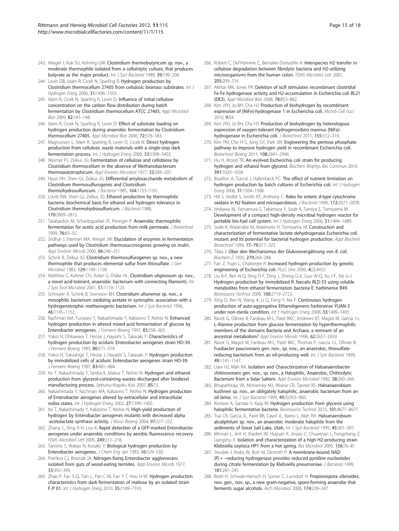- 243. Wiegel J, Kuk SU, Kohring GW: Clostridium thermobutyricum sp. nov., a moderate thermophile isolated from a cellulolytic culture, that produces butyrate as the major product. Int J Syst Bacteriol 1989, 39:199–204.
- 244. Levin DB, Islam R, Cicek N, Sparling R: Hydrogen production by Clostridium thermocellum 27405 from cellulosic biomass substrates. Int J Hydrogen Energ 2006, 31:1496–1503.
- 245. Islam R, Cicek N, Sparling R, Levin D: Influence of initial cellulose concentration on the carbon flow distribution during batch fermentation by Clostridium thermocellum ATCC 27405. Appl Microbiol Biot 2009, 82:141–148.
- 246. Islam R, Cicek N, Sparling R, Levin D: Effect of substrate loading on hydrogen production during anaerobic fermentation by Clostridium thermocellum 27405. Appl Microbiol Biot 2006, 72:576–583.
- 247. Magnusson L, Islam R, Sparling R, Levin D, Cicek N: Direct hydrogen production from cellulosic waste materials with a single-step dark fermentation process. Int J Hydrogen Energ 2008, 33:5398-5403.
- 248. Weimer PJ, Zeikus JG: Fermentation of cellulose and cellobiose by Clostridium thermocellum in the absence of Methanobacterium thermoautotrophicum. Appl Environ Microbiol 1977, 33:289-297.
- 249. Hyun HH, Shen GJ, Zeikus JG: Differential amylosaccharide metabolism of Clostridium thermosulfurogenes and Clostridium thermohydrosulfuricum. J Bacteriol 1985, 164:1153-1161.
- 250. Lovitt RW, Shen GJ, Zeikus JG: Ethanol production by thermophilic bacteria: biochemical basis for ethanol and hydrogen tolerance in Clostridium thermohydrosulfuricum. J Bacteriol 1988, 170:2809–2815.
- 251. Talabardon M, Schwitzguebel JP, Peringer P: Anaerobic thermophilic fermentation for acetic acid production from milk permeate. J Biotechnol 1999, 76:83–92.
- 252. Sridhar J, Eiteman MA, Wiegel JW: Elucidation of enzymes in fermentation pathways used by Clostridium thermosuccinogenes growing on inulin. Appl Environ Microb 2000, 66:246–251.
- 253. Schink B, Zeikus JG: Clostridium thermosulfurogenes sp. nov., a new thermophile that produces elemental sulfur from thiosulfate. J Gen Microbiol 1983, 129:1149–1158.
- 254. Matthies C, Kuhner CH, Acker G, Drake HL: Clostridium uliginosum sp. nov., a novel acid-tolerant, anaerobic bacterium with connecting filaments. Int J Syst Evol Microbiol 2001, 51:1119–1125.
- 255. Schnurer A, Schink B, Svensson BH: Clostridium ultunense sp. nov., a mesophilic bacterium oxidizing acetate in syntrophic association with a hydrogenotrophic methanogenic bacterium. Int J Syst Bacteriol 1996, 46:1145–1152.
- 256. Rachman MA, Furutani Y, Nakashimada Y, Kakizono T, Nishio N: Enhanced hydrogen production in altered mixed acid fermentation of glucose by Enterobacter aerogenes. J Ferment Bioeng 1997, 83:358–363.
- 257. Yokoi H, Ohkawara T, Hirose J, Havashi S, Takasaki Y: Characteristics of hydrogen production by aciduric Enterobacter aerogenes strain HO-39. J Ferment Bioeng 1995, 80:571–574.
- 258. Yokoi H, Tokushige T, Hirose J, Hayashi S, Takasaki Y: Hydrogen production by immobilized cells of aciduric Enterobacter aerogenes strain HO-39. J Ferment Bioeng 1997, 83:481–484.
- 259. Ito T, Nakashimada Y, Senba K, Matsui T, Nishio N: Hydrogen and ethanol production from glycerol-containing wastes discharged after biodiesel manufacturing process. Seibutsu-Kogaku Kais 2007, 85:15.
- 260. Nakashimada Y, Rachman MA, Kakizono T, Nishio N: Hydrogen production of Enterobacter aerogenes altered by extracellular and intracellular redox states. Int J Hydrogen Energ 2002, 27:1399–1405.
- 261. Ito T, Nakashimada Y, Kakizono T, Nishio N: High-yield production of hydrogen by Enterobacter aerogenes mutants with decreased alpha -acetolactate synthase activity. J Biosci Bioeng 2004, 97:227-232
- 262. Zhang C, Xing X-H, Lou K: Rapid detection of a GFP-marked Enterobacter aerogenes under anaerobic conditions by aerobic fluorescence recovery. FEMS Microbiol Lett 2005, 249:211–218.
- 263. Tanisho S, Wakao N, Kosako Y: Biological hydrogen production by Enterobacter aerogenes. J Chem Eng Jpn 1983, 16:529-530.
- 264. Potrikus CJ, Breznak JA: Nitrogen-fixing Enterobacter agglomerans isolated from guts of wood-eating termites. Appl Environ Microb 1977, 33:392–399.
- 265. Zhao P, Fan S-Q, Tian L, Pan C-M, Fan Y-T, Hou H-W: Hydrogen production characteristics from dark fermentation of maltose by an isolated strain F..P 01. Int J Hydrogen Energ 2010, 35:7189–7193.
- 266. Robert C, Del'Homme C, Bernalier-Donadille A: Interspecies H2 transfer in cellulose degradation between fibrolytic bacteria and H2-utilizing microorganisms from the human colon. FEMS Microbiol Lett 2001, 205:209–214.
- 267. Akhtar MK, Jones PR: Deletion of iscR stimulates recombinant clostridial Fe-Fe hydrogenase activity and H2-accumulation in Escherichia coli BL21 (DE3). Appl Microbiol Biot 2008, 78:853–862.
- 268. Kim JYH, Jo BH, Cha HJ: Production of biohydrogen by recombinant expression of [NiFe]-hydrogenase 1 in Escherichia coli. Microb Cell Fact 2010, 9:54.
- 269. Kim JYH, Jo BH, Cha HJ: Production of biohydrogen by heterologous expression of oxygen-tolerant Hydrogenovibrio marinus [NiFe] hydrogenase in Escherichia coli. J Biotechnol 2011, 155:312–319.
- 270. Kim YM, Cho H-S, Jung GY, Park JM: Engineering the pentose phosphate pathway to improve hydrogen yield in recombinant Escherichia coli. Biotechnol Bioeng 2011, 108:2941–2946.
- 271. Hu H, Wood TK: An evolved Escherichia coli strain for producing hydrogen and ethanol from glycerol. Biochem Biophys Res Commun 2010, 391:1033–1038.
- 272. Bisaillon A, Turcot J, Hallenbeck PC: The effect of nutrient limitation on hydrogen production by batch cultures of Escherichia coli. Int J Hydrogen Energ 2006, 31:1504–1508.
- 273. Hill S, Viollet S, Smith AT, Anthony C: Roles for enteric d-type cytochrome oxidase in N2 fixation and microaerobiosis. J Bacteriol 1990, 172:2071–2078.
- 274. Ishikawa M, Yamamura S, Takamura Y, Sode K, Tamiya E, Tomiyama M: Development of a compact high-density microbial hydrogen reactor for portable bio-fuel cell system. Int J Hydrogen Energ 2006, 31:1484–1489.
- 275. Sode K, Watanabe M, Makimoto H, Tomiyama M: Construction and characterization of fermentative lactate dehydrogenase Escherichia coli mutant and its potential for bacterial hydrogen production. Appl Biochem Biotechnol 1999, 77–79:317–323.
- 276. Tikka J: Über den Mechanismus der Glukosevergährung von B. coli. Biochem Z 1935, 279:264–288.
- 277. Fan Z, Yuan L, Chatterjee R: Increased hydrogen production by genetic engineering of Escherichia coli. PLoS One 2009, 4(2):4432.
- 278. Liu B-F, Ren N-Q, Xing D-F, Ding J, Zheng G-X, Guo W-Q, Xu J-F, Xie G-J: Hydrogen production by immobilized R. faecalis RLD-53 using soluble metabolites from ethanol fermentation bacteria E. harbinense B49. Bioresource Technol 2009, 100:2719–2723.
- 279. Xing D, Ren N, Wang A, Li Q, Feng Y, Ma F: Continuous hydrogen production of auto-aggregative Ethanoligenens harbinense YUAN-3 under non-sterile condition. Int J Hydrogen Energ 2008, 33:1489-1495.
- 280. Ravot G, Ollivier B, Fardeau M-L, Patel BKC, Andrews KT, Magot M, Garcia J-L: L-Alanine production from glucose fermentation by hyperthermophilic members of the domains Bacteria and Archaea: a remnant of an ancestral metabolism? Appl Environ Microb 1996, 62:2657–2659.
- 281. Ravot G, Magot M, Fardeau M-L, Patel BKC, Thomas P, Garcia J-L, Ollivier B: Fusibacter paucivorans gen. nov., sp. nov., an anaerobic, thiosulfatereducing bacterium from an oil-producing well. Int J Syst Bacteriol 1999, 49:1141–1147.
- 282. Liaw HJ, Mah RA: Isolation and Characterization of Haloanaerobacter chitinovorans gen. nov., sp. nov., a Halophilic, Anaerobic, Chitinolytic Bacterium from a Solar Saltern. Appl Environ Microbiol 1992, 58:260–266.
- 283. Bhupathiraju VK, McInerney MJ, Woese CR, Tanner RS: Haloanaerobium kushneri sp. nov., an obligately halophilic, anaerobic bacterium from an oil brine. Int J Syst Bacteriol 1999, 49(3):953–960.
- 284. Kivistoe A, Santala V, Karp M: Hydrogen production from glycerol using halophilic fermentative bacteria. Bioresource Technol 2010, 101:8671–8677.
- 285. Tsai CR, Garcia JL, Patel BK, Cayol JL, Baresi L, Mah RA: Haloanaerobium alcaliphilum sp. nov., an anaerobic moderate halophile from the sediments of Great Salt Lake, Utah. Int J Syst Bacteriol 1995, 45:301-307.
- 286. Minnan L, Jinli H, Xiaobin W, Huijuan X, Jinzao C, Chuannan L, Fengzhang Z, Liangshu X: Isolation and characterization of a high H2-producing strain Klebsiella oxytoca HP1 from a hot spring. Res Microbiol 2005, 156:76–81.
- 287. Steuber J, Krebs W, Bott M, Dimroth P: A membrane-bound NAD (P) + −reducing hydrogenase provides reduced pyridine nucleotides during citrate fermentation by Klebsiella pneumoniae. J Bacteriol 1999, 181:241–245.
- 288. Biebl H, Schwab-Hanisch H, Sproer C, Lunsdorf H: Propionispora vibrioides, nov. gen., nov. sp., a new gram-negative, spore-forming anaerobe that ferments sugar alcohols. Arch Microbiol 2000, 174:239–247.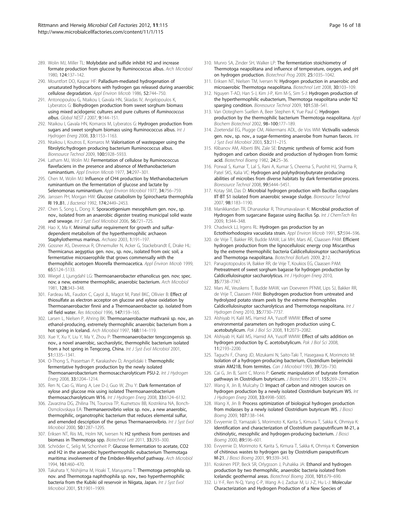- 289. Wolin MJ, Miller TL: Molybdate and sulfide inhibit H2 and increase formate production from glucose by Ruminococcus albus. Arch Microbiol 1980, 124:137–142.
- 290. Mountfort DO, Kaspar HF: Palladium-mediated hydrogenation of unsaturated hydrocarbons with hydrogen gas released during anaerobic cellulose degradation. Appl Environ Microb 1986, 52:744–750.
- 291. Antonopoulou G, Ntaikou I, Gavala HN, Skiadas IV, Angelopoulos K, Lyberatos G: Biohydrogen production from sweet sorghum biomass using mixed acidogenic cultures and pure cultures of Ruminococcus albus. Global NEST J 2007, 9:144–151.
- 292. Ntaikou I, Gavala HN, Kornaros M, Lyberatos G: Hydrogen production from sugars and sweet sorghum biomass using Ruminococcus albus. Int J Hydrogen Energ 2008, 33:1153–1163.
- 293. Ntaikou I, Koutros E, Kornaros M: Valorisation of wastepaper using the fibrolytic/hydrogen producing bacterium Ruminococcus albus. Bioresource Technol 2009, 100:5928–5933.
- 294. Latham MJ, Wolin MJ: Fermentation of cellulose by Ruminococcus flavefaciens in the presence and absence of Methanobacterium ruminantium. Appl Environ Microb 1977, 34:297–301.
- 295. Chen M, Wolin MJ: Influence of CH4 production by Methanobacterium ruminantium on the fermentation of glucose and lactate by Selenomonas ruminantium. Appl Environ Microbiol 1977, 34:756–759.
- 296. Janssen PH, Morgan HW: Glucose catabolism by Spirochaeta thermophila RI 19..B1. J Bacteriol 1992, 174:2449–2453.
- 297. Chen S, Song L, Dong X: Sporacetigenium mesophilum gen. nov., sp. nov., isolated from an anaerobic digester treating municipal solid waste and sewage. Int J Syst Evol Microbiol 2006, 56:721–725.
- 298. Hao X, Ma K: Minimal sulfur requirement for growth and sulfurdependent metabolism of the hyperthermophilic archaeon Staphylothermus marinus. Archaea 2003, 1:191–197.
- 299. Gossner AS, Devereux R, Ohnemuller N, Acker G, Stackebrandt E, Drake HL: Thermicanus aegyptius gen. nov., sp. nov., isolated from oxic soil, a fermentative microaerophile that grows commensally with the thermophilic acetogen Moorella thermoacetica. Appl Environ Microb 1999, 65:5124–5133.
- 300. Wiegel J, Ljungdahl LG: Thermoanaerobacter ethanolicus gen. nov; spec. nov; a new, extreme thermophilic, anaerobic bacterium. Arch Microbiol 1981, 128:343–348.
- 301. Fardeau ML, Faudon C, Cayol JL, Magot M, Patel BKC, Ollivier B: Effect of thiosulfate as electron acceptor on glucose and xylose oxidation by Thermoanaerobacter finnii and a Thermoanaerobacter sp. isolated from oil field water. Res Microbiol 1996, 147:159–165.
- 302. Larsen L, Nielsen P, Ahring BK: Thermoanaerobacter mathranii sp. nov., an ethanol-producing, extremely thermophilic anaerobic bacterium from a hot spring in Iceland. Arch Microbiol 1997, 168:114–119.
- 303. Xue Y, Xu Y, Liu Y, Ma Y, Zhou P: Thermoanaerobacter tengcongensis sp. nov., a novel anaerobic, saccharolytic, thermophilic bacterium isolated from a hot spring in Tengcong, China. Int J Syst Evol Microbiol 2001, 51:1335–1341.
- 304. O-Thong S, Prasertsan P, Karakashev D, Angelidaki I: Thermophilic fermentative hydrogen production by the newly isolated Thermoanaerobacterium thermosaccharolyticum PSU-2. Int J Hydrogen Energ 2008, 33:1204–1214.
- 305. Ren N, Cao G, Wang A, Lee D-J, Guo W, Zhu Y: Dark fermentation of xylose and glucose mix using isolated Thermoanaerobacterium thermosaccharolyticum W16. Int J Hydrogen Energ 2008, 33:6124-6132.
- 306. Zavarzina DG, Zhilina TN, Tourova TP, Kuznetsov BB, Kostrikina NA, Bonch-Osmolovskaya EA: Thermanaerovibrio velox sp. nov., a new anaerobic, thermophilic, organotrophic bacterium that reduces elemental sulfur, and emended description of the genus Thermanaerovibrio. Int J Syst Evol Microbiol 2000, 50:1287–1295.
- 307. Eriksen NT, Riis ML, Holm NK, Iversen N: H2 synthesis from pentoses and biomass in Thermotoga spp. Biotechnol Lett 2011, 33:293–300.
- 308. Schröder C, Selig M, Schonheit P: Glucose fermentation to acetate, CO2 and H2 in the anaerobic hyperthermophilic eubacterium Thermotaga maritima: involvement of the Embden-Meyerhof pathway. Arch Microbiol 1994, 161:460–470.
- 309. Takahata Y, Nishijima M, Hoaki T, Maruyama T: Thermotoga petrophila sp. nov. and Thermotoga naphthophila sp. nov., two hyperthermophilic bacteria from the Kubiki oil reservoir in Niigata, Japan. Int J Syst Evol Microbiol 2001, 51:1901–1909.
- 310. Munro SA, Zinder SH, Walker LP: The fermentation stoichiometry of Thermotoga neapolitana and influence of temperature, oxygen, and pH on hydrogen production. Biotechnol Prog 2009, 25:1035–1042.
- 311. Eriksen NT, Nielsen TM, Iversen N: Hydrogen production in anaerobic and microaerobic Thermotoga neapolitana. Biotechnol Lett 2008, 30:103–109.
- 312. Nguyen T-AD, Han S-J, Kim J-P, Kim M-S, Sim S-J: Hydrogen production of the hyperthermophilic eubacterium, Thermotoga neapolitana under N2 sparging condition. Bioresource Technol 2009, 101:S38-S41.
- 313. Van Ooteghem Suellen A, Beer Stephen K, Yue Paul C: Hydrogen production by the thermophilic bacterium Thermotoga neapolitana. Appl Biochem Biotechnol 2002, 98–100:177–189.
- 314. Zoetendal EG, Plugge CM, Akkermans ADL, de Vos WM: Victivallis vadensis gen. nov., sp. nov., a sugar-fermenting anaerobe from human faeces. Int J Syst Evol Microbiol 2003, 53:211-215.
- 315. Klibanov AM, Alberti BN, Zale SE: Enzymic synthesis of formic acid from hydrogen and carbon dioxide and production of hydrogen from formic acid. Biotechnol Bioeng 1982, 24:25–36.
- 316. Porwal S, Kumar T, Lal S, Rani A, Kumar S, Cheema S, Purohit HJ, Sharma R, Patel SKS, Kalia VC: Hydrogen and polyhydroxybutyrate producing abilities of microbes from diverse habitats by dark fermentative process. Bioresource Technol 2008, 99:5444–5451.
- 317. Kotay SM, Das D: Microbial hydrogen production with Bacillus coagulans IIT-BT S1 isolated from anaerobic sewage sludge. Bioresource Technol 2007, 98:1183–1190.
- 318. Manikkandan TR, Dhanasekar R, Thirumavalavan K: Microbial production of Hydrogen from sugarcane Bagasse using Bacillus Sp. Int J ChemTech Res 2009, 1:344–348.
- 319. Chadwick LJ, Irgens RL: Hydrogen gas production by an Ectothiorhodospira vacuolata strain. Appl Environ Microb 1991, 57:594–596.
- 320. de Vrije T, Bakker RR, Budde MAW, Lai MH, Mars AE, Claassen PAM: Efficient hydrogen production from the lignocellulosic energy crop Miscanthus by the extreme thermophilic bacteria Caldicellulosiruptor saccharolyticus and Thermotoga neapolitana. Biotechnol Biofuels 2009, 2:12.
- 321. Panagiotopoulos IA, Bakker RR, de Vrije T, Koukios EG, Claassen PAM: Pretreatment of sweet sorghum bagasse for hydrogen production by Caldicellulosiruptor saccharolyticus. Int J Hydrogen Energ 2010, 35:7738–7747.
- 322. Mars AE, Veuskens T, Budde MAW, van Doeveren PFNM, Lips SJ, Bakker RR, de Vrije T, Claassen PAM: Biohydrogen production from untreated and hydrolyzed potato steam peels by the extreme thermophiles Caldicellulosiruptor saccharolyticus and Thermotoga neapolitana. Int J Hydrogen Energ 2010, 35:7730–7737.
- 323. Alshiyab H, Kalil MS, Hamid AA, Yusoff WMW: Effect of some environmental parameters on hydrogen production using C. acetobutylicum. Pak J Biol Sci 2008, 11:2073–2082.
- 324. Alshiyab H, Kalil MS, Hamid AA, Yusoff WMW: Effect of salts addition on hydrogen production by C. acetobutylicum. Pak J Biol Sci 2008, 11:2193–2200.
- 325. Taguchi F, Chang JD, Mizukami N, Saito-Taki T, Hasegawa K, Morimoto M: Isolation of a hydrogen-producing bacterium, Clostridium beijerinckii strain AM21B, from termites. Can J Microbiol 1993, 39:726-730.
- 326. Cai G, Jin B, Saint C, Monis P: Genetic manipulation of butyrate formation pathways in Clostridium butyricum. J Biotechnol 2011, 155:269–274.
- 327. Wang X, Jin B, Mulcahy D: Impact of carbon and nitrogen sources on hydrogen production by a newly isolated Clostridium butyricum W5. Int J Hydrogen Energ 2008, 33:4998-5005.
- 328. Wang X, Jin B: Process optimization of biological hydrogen production from molasses by a newly isolated Clostridium butyricum W5. J Biosci Bioeng 2009, 107:138–144.
- 329. Evvyernie D, Yamazaki S, Morimoto K, Karita S, Kimura T, Sakka K, Ohmiya K: Identification and characterization of Clostridium paraputrificum M-21, a chitinolytic, mesophilic and hydrogen-producing bacterium. J Biosci Bioeng 2000, 89:596–601.
- 330. Evvyernie D, Morimoto K, Karita S, Kimura T, Sakka K, Ohmiya K: Conversion of chitinous wastes to hydrogen gas by Clostridium paraputrificum M-21. J Biosci Bioeng 2001, 91:339–343.
- 331. Koskinen PEP, Beck SR, Orlygsson J, Puhakka JA: Ethanol and hydrogen production by two thermophilic, anaerobic bacteria isolated from Icelandic geothermal areas. Biotechnol Bioeng 2008, 101:679–690.
- 332. Li Y-F, Ren N-Q, Yang C-P, Wang A-J, Zadsar M, Li J-Z, Hu L-J: Molecular Characterization and Hydrogen Production of a New Species of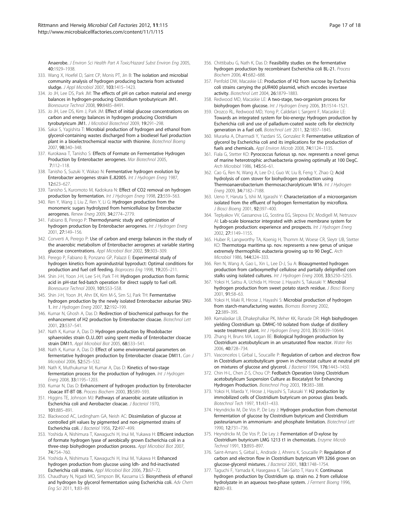Anaerobe. J Environ Sci Health Part A Toxic/Hazard Subst Environ Eng 2005, 40:1929–1938.

- 333. Wang X, Hoefel D, Saint CP, Monis PT, Jin B: The isolation and microbial community analysis of hydrogen producing bacteria from activated sludge. J Appl Microbiol 2007, 103:1415–1423.
- 334. Jo JH, Lee DS, Park JM: The effects of pH on carbon material and energy balances in hydrogen-producing Clostridium tyrobutyricum JM1. Bioresource Technol 2008, 99:8485–8491.
- 335. Jo JH, Lee DS, Kim J, Park JM: Effect of initial glucose concentrations on carbon and energy balances in hydrogen producing Clostridium tyrobutyricum JM1. J Microbiol Biotechnol 2009, 19:291–298.
- 336. Sakai S, Yagishita T: Microbial production of hydrogen and ethanol from glycerol-containing wastes discharged from a biodiesel fuel production plant in a bioelectrochemical reactor with thionine. Biotechnol Bioeng 2007, 98:340–348.
- 337. Kurokawa T, Tanisho S: Effects of Formate on Fermentative Hydrogen Production by Enterobacter aerogenes. Mar Biotechnol 2005, 7:112–118.
- 338. Tanisho S, Suzuki Y, Wakao N: Fermentative hydrogen evolution by Enterobacter aerogenes strain E..82005. Int J Hydrogen Energ 1987, 12:623–627.
- 339. Tanisho S, Kuromoto M, Kadokura N: Effect of CO2 removal on hydrogen production by fermentation. Int J Hydrogen Energ 1998, 23:559-563.
- 340. Ren Y, Wang J, Liu Z, Ren Y, Li G: Hydrogen production from the monomeric sugars hydrolyzed from hemicellulose by Enterobacter aerogenes. Renew Energ 2009, 34:2774–2779.
- 341. Fabiano B, Perego P: Thermodynamic study and optimization of hydrogen production by Enterobacter aerogenes. Int J Hydrogen Energ 2001, 27:149–156.
- 342. Converti A, Perego P: Use of carbon and energy balances in the study of the anaerobic metabolism of Enterobacter aerogenes at variable starting glucose concentrations. Appl Microbiol Biot 2002, 59:303–309.
- 343. Perego P, Fabiano B, Ponzano GP, Palazzi E: Experimental study of hydrogen kinetics from agroindustrial byproduct: Optimal conditions for production and fuel cell feeding. Bioprocess Eng 1998, 19:205–211.
- 344. Shin J-H, Yoon J-H, Lee S-H, Park T-H: Hydrogen production from formic acid in pH-stat fed-batch operation for direct supply to fuel cell. Bioresource Technol 2009, 101:S53–S58.
- 345. Shin J-H, Yoon JH, Ahn EK, Kim M-S, Sim SJ, Park TH: Fermentative hydrogen production by the newly isolated Enterobacter asburiae SNU-1. Int J Hydrogen Energ 2007, 32:192–199.
- 346. Kumar N, Ghosh A, Das D: Redirection of biochemical pathways for the enhancement of H2 production by Enterobacter cloacae. Biotechnol Lett 2001, 23:537–541.
- 347. Nath K, Kumar A, Das D: Hydrogen production by Rhodobacter sphaeroides strain O..U..001 using spent media of Enterobacter cloacae strain DM11. Appl Microbiol Biot 2005, 68:533–541.
- 348. Nath K, Kumar A, Das D: Effect of some environmental parameters on fermentative hydrogen production by Enterobacter cloacae DM11. Can J Microbiol 2006, 52:525–532.
- 349. Nath K, Muthukumar M, Kumar A, Das D: Kinetics of two-stage fermentation process for the production of hydrogen. Int J Hydrogen Energ 2008, 33:1195–1203.
- 350. Kumar N, Das D: Enhancement of hydrogen production by Enterobacter cloacae IIT-BT 08. Process Biochem 2000, 35:589–593.
- 351. Higgins TE, Johnson MJ: Pathways of anaerobic acetate utilization in Escherichia coli and Aerobacter cloacae. J Bacteriol 1970, 101:885–891.
- 352. Blackwood AC, Ledingham GA, Neish AC: Dissimilation of glucose at controlled pH values by pigmented and non-pigmented strains of Escherichia coli. J Bacteriol 1956, 72:497–499.
- 353. Yoshida A, Nishimura T, Kawaguchi H, Inui M, Yukawa H: Efficient induction of formate hydrogen lyase of aerobically grown Escherichia coli in a three-step biohydrogen production process. Appl Microbiol Biot 2007, 74:754–760.
- 354. Yoshida A, Nishimura T, Kawaguchi H, Inui M, Yukawa H: Enhanced hydrogen production from glucose using ldh- and frd-inactivated Escherichia coli strains. Appl Microbiol Biot 2006, 73:67–72.
- 355. Chaudhary N, Ngadi MO, Simpson BK, Kassama LS: Biosynthesis of ethanol and hydrogen by glycerol fermentation using Escherichia coli. Adv Chem Eng Sci 2011, 1:83–89.
- 356. Chittibabu G, Nath K, Das D: Feasibility studies on the fermentative hydrogen production by recombinant Escherichia coli BL-21. Process Biochem 2006, 41:682–688.
- 357. Penfold DW, Macaskie LE: Production of H2 from sucrose by Escherichia coli strains carrying the pUR400 plasmid, which encodes invertase activity. Biotechnol Lett 2004, 26:1879–1883.
- 358. Redwood MD, Macaskie LE: A two-stage, two-organism process for biohydrogen from glucose. Int J Hydrogen Energ 2006, 31:1514–1521.
- 359. Orozco RL, Redwood MD, Yong P, Caldelari I, Sargent F, Macaskie LE: Towards an integrated system for bio-energy: Hydrogen production by Escherichia coli and use of palladium-coated waste cells for electricity generation in a fuel cell. Biotechnol Lett 2011, 32:1837-1845.
- 360. Murarka A, Dharmadi Y, Yazdani SS, Gonzalez R: Fermentative utilization of glycerol by Escherichia coli and its implications for the production of fuels and chemicals. Appl Environ Microb 2008, 74:1124-1135.
- 361. Fiala G, Stetter KO: Pyrococcus furiosus sp. nov. represents a novel genus of marine heterotrophic archaebacteria growing optimally at 100 DegC. Arch Microbiol 1986, 145:56–61.
- 362. Cao G, Ren N, Wang A, Lee D-J, Guo W, Liu B, Feng Y, Zhao Q: Acid hydrolysis of corn stover for biohydrogen production using Thermoanaerobacterium thermosaccharolyticum W16. Int J Hydrogen Enera 2009, 34:7182-7188.
- 363. Ueno Y, Haruta S, Ishii M, Igarashi Y: Characterization of a microorganism isolated from the effluent of hydrogen fermentation by microflora. J Biosci Bioeng 2001, 92:397-400.
- 364. Teplyakov VV, Gassanova LG, Sostina EG, Slepova EV, Modigell M, Netrusov AI: Lab-scale bioreactor integrated with active membrane system for hydrogen production: experience and prospects. Int J Hydrogen Energ 2002, 27:1149–1155.
- 365. Huber R, Langworthy TA, Koenig H, Thomm M, Woese CR, Sleytr UB, Stetter KO: Thermotoga maritima sp. nov. represents a new genus of unique extremely thermophilic eubacteria growing up to 90 DegC. Arch Microbiol 1986, 144:324–333.
- 366. Ren N, Wang A, Gao L, Xin L, Lee D-J, Su A: Bioaugmented hydrogen production from carboxymethyl cellulose and partially delignified corn stalks using isolated cultures. Int J Hydrogen Energ 2008, 33:5250-5255.
- 367. Yokoi H, Saitsu A, Uchida H, Hirose J, Hayashi S, Takasaki Y: Microbial hydrogen production from sweet potato starch residue. J Biosci Bioeng 2001, 91:58–63.
- 368. Yokoi H, Maki R, Hirose J, Hayashi S: Microbial production of hydrogen from starch-manufacturing wastes. Biomass Bioenerg 2002, 22:389–395.
- 369. Kamalaskar LB, Dhakephalkar PK, Meher KK, Ranade DR: High biohydrogen yielding Clostridium sp. DMHC-10 isolated from sludge of distillery waste treatment plant. Int J Hydrogen Energ 2010, 35:10639–10644.
- 370. Zhang H, Bruns MA, Logan BE: Biological hydrogen production by Clostridium acetobutylicum in an unsaturated flow reactor. Water Res 2006, 40:728–734.
- 371. Vasconcelos I, Girbal L, Soucaille P: Regulation of carbon and electron flow in Clostridium acetobutylicum grown in chemostat culture at neutral pH on mixtures of glucose and glycerol. J Bacteriol 1994, 176:1443-1450.
- 372. Chin H-L, Chen Z-S, Chou CP: Fedbatch Operation Using Clostridium acetobutylicum Suspension Culture as Biocatalyst for Enhancing Hydrogen Production. Biotechnol Prog 2003, 19:383-388.
- 373. Yokoi H, Maeda Y, Hirose J, Hayashi S, Takasaki Y: H2 production by immobilized cells of Clostridium butyricum on porous glass beads. Biotechnol Tech 1997, 11:431–433.
- 374. Heyndrickx M, De Vos P, De Ley J: Hydrogen production from chemostat fermentation of glucose by Clostridium butyricum and Clostridium pasteurianum in ammonium- and phosphate limitation. Biotechnol Lett 1990, 12:731–736.
- 375. Heyndrickx M, De Vos P, De Ley J: Fermentation of D-xylose by Clostridium butyricum LMG 1213 t1 in chemostats. Enzyme Microb Technol 1991, 13:893–897.
- 376. Saint-Amans S, Girbal L, Andrade J, Ahrens K, Soucaille P: Regulation of carbon and electron flow in Clostridium butyricum VPI 3266 grown on glucose-glycerol mixtures. J Bacteriol 2001, 183:1748–1754.
- 377. Taguchi F, Yamada K, Hasegawa K, Taki-Saito T, Hara K: Continuous hydrogen production by Clostridium sp. strain no. 2 from cellulose hydrolyzate in an aqueous two-phase system. J Ferment Bioeng 1996, 82:80–83.